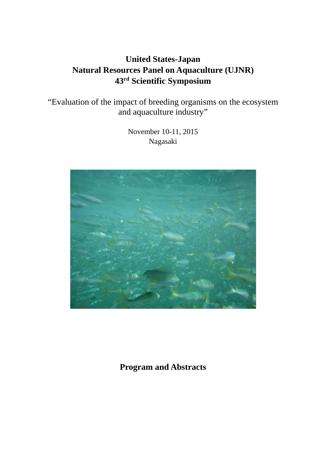# **United States-Japan Natural Resources Panel on Aquaculture (UJNR) 43rd Scientific Symposium**

"Evaluation of the impact of breeding organisms on the ecosystem and aquaculture industry"

> November 10-11, 2015 Nagasaki



**Program and Abstracts**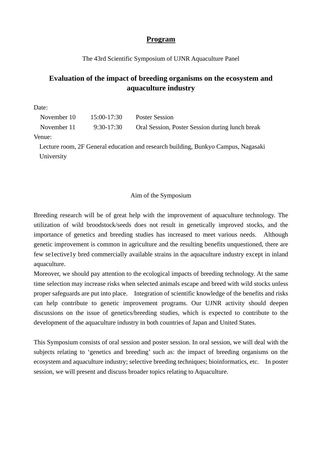# **Program**

#### The 43rd Scientific Symposium of UJNR Aquaculture Panel

# **Evaluation of the impact of breeding organisms on the ecosystem and aquaculture industry**

Date:

| November 10 | 15:00-17:30  | <b>Poster Session</b>                           |
|-------------|--------------|-------------------------------------------------|
| November 11 | $9:30-17:30$ | Oral Session, Poster Session during lunch break |

Venue:

Lecture room, 2F General education and research building, Bunkyo Campus, Nagasaki University

#### Aim of the Symposium

Breeding research will be of great help with the improvement of aquaculture technology. The utilization of wild broodstock/seeds does not result in genetically improved stocks, and the importance of genetics and breeding studies has increased to meet various needs. Although genetic improvement is common in agriculture and the resulting benefits unquestioned, there are few se1ective1y bred commercially available strains in the aquaculture industry except in inland aquaculture.

Moreover, we should pay attention to the ecological impacts of breeding technology. At the same time selection may increase risks when selected animals escape and breed with wild stocks unless proper safeguards are put into place. Integration of scientific knowledge of the benefits and risks can help contribute to genetic improvement programs. Our UJNR activity should deepen discussions on the issue of genetics/breeding studies, which is expected to contribute to the development of the aquaculture industry in both countries of Japan and United States.

This Symposium consists of oral session and poster session. In oral session, we will deal with the subjects relating to 'genetics and breeding' such as: the impact of breeding organisms on the ecosystem and aquaculture industry; selective breeding techniques; bioinformatics, etc. In poster session, we will present and discuss broader topics relating to Aquaculture.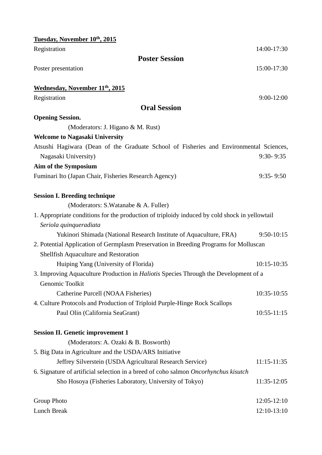| Tuesday, November 10th, 2015                                                                  |                 |
|-----------------------------------------------------------------------------------------------|-----------------|
| Registration                                                                                  | 14:00-17:30     |
| <b>Poster Session</b>                                                                         |                 |
| Poster presentation                                                                           | 15:00-17:30     |
| Wednesday, November 11 <sup>th</sup> , 2015                                                   |                 |
| Registration                                                                                  | $9:00-12:00$    |
| <b>Oral Session</b>                                                                           |                 |
| <b>Opening Session.</b>                                                                       |                 |
| (Moderators: J. Higano & M. Rust)                                                             |                 |
| <b>Welcome to Nagasaki University</b>                                                         |                 |
| Atsushi Hagiwara (Dean of the Graduate School of Fisheries and Environmental Sciences,        |                 |
| Nagasaki University)                                                                          | $9:30 - 9:35$   |
| Aim of the Symposium                                                                          |                 |
| Fuminari Ito (Japan Chair, Fisheries Research Agency)                                         | $9:35 - 9:50$   |
| <b>Session I. Breeding technique</b>                                                          |                 |
| (Moderators: S.Watanabe & A. Fuller)                                                          |                 |
| 1. Appropriate conditions for the production of triploidy induced by cold shock in yellowtail |                 |
| Seriola quinqueradiata                                                                        |                 |
| Yukinori Shimada (National Research Institute of Aquaculture, FRA)                            | $9:50-10:15$    |
| 2. Potential Application of Germplasm Preservation in Breeding Programs for Molluscan         |                 |
| Shellfish Aquaculture and Restoration                                                         |                 |
| Huiping Yang (University of Florida)                                                          | $10:15 - 10:35$ |
| 3. Improving Aquaculture Production in <i>Haliotis</i> Species Through the Development of a   |                 |
| Genomic Toolkit                                                                               |                 |
| Catherine Purcell (NOAA Fisheries)                                                            | 10:35-10:55     |
| 4. Culture Protocols and Production of Triploid Purple-Hinge Rock Scallops                    |                 |
| Paul Olin (California SeaGrant)                                                               | $10:55 - 11:15$ |
| <b>Session II. Genetic improvement 1</b>                                                      |                 |
| (Moderators: A. Ozaki & B. Bosworth)                                                          |                 |
| 5. Big Data in Agriculture and the USDA/ARS Initiative                                        |                 |
| Jeffrey Silverstein (USDA Agricultural Research Service)                                      | $11:15 - 11:35$ |
| 6. Signature of artificial selection in a breed of coho salmon Oncorhynchus kisutch           |                 |
| Sho Hosoya (Fisheries Laboratory, University of Tokyo)                                        | $11:35-12:05$   |
| <b>Group Photo</b>                                                                            | $12:05 - 12:10$ |
| <b>Lunch Break</b>                                                                            | 12:10-13:10     |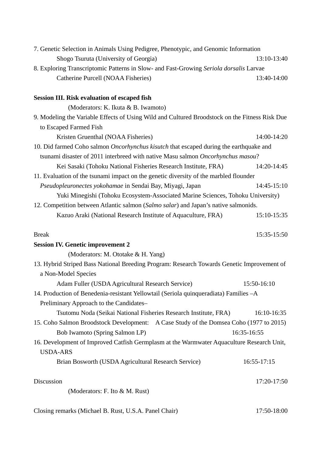| 7. Genetic Selection in Animals Using Pedigree, Phenotypic, and Genomic Information            |             |
|------------------------------------------------------------------------------------------------|-------------|
| Shogo Tsuruta (University of Georgia)                                                          | 13:10-13:40 |
| 8. Exploring Transcriptomic Patterns in Slow- and Fast-Growing Seriola dorsalis Larvae         |             |
| Catherine Purcell (NOAA Fisheries)                                                             | 13:40-14:00 |
| <b>Session III. Risk evaluation of escaped fish</b>                                            |             |
| (Moderators: K. Ikuta & B. Iwamoto)                                                            |             |
| 9. Modeling the Variable Effects of Using Wild and Cultured Broodstock on the Fitness Risk Due |             |
| to Escaped Farmed Fish                                                                         |             |
| Kristen Gruenthal (NOAA Fisheries)                                                             | 14:00-14:20 |
| 10. Did farmed Coho salmon Oncorhynchus kisutch that escaped during the earthquake and         |             |
| tsunami disaster of 2011 interbreed with native Masu salmon Oncorhynchus masou?                |             |
| Kei Sasaki (Tohoku National Fisheries Research Institute, FRA)                                 | 14:20-14:45 |
| 11. Evaluation of the tsunami impact on the genetic diversity of the marbled flounder          |             |
| Pseudopleuronectes yokohamae in Sendai Bay, Miyagi, Japan                                      | 14:45-15:10 |
| Yuki Minegishi (Tohoku Ecosystem-Associated Marine Sciences, Tohoku University)                |             |
| 12. Competition between Atlantic salmon (Salmo salar) and Japan's native salmonids.            |             |
| Kazuo Araki (National Research Institute of Aquaculture, FRA)                                  | 15:10-15:35 |
|                                                                                                |             |
| <b>Break</b>                                                                                   | 15:35-15:50 |
| <b>Session IV. Genetic improvement 2</b>                                                       |             |
| (Moderators: M. Ototake & H. Yang)                                                             |             |
| 13. Hybrid Striped Bass National Breeding Program: Research Towards Genetic Improvement of     |             |
| a Non-Model Species                                                                            |             |
| Adam Fuller (USDA Agricultural Research Service)                                               | 15:50-16:10 |
| 14. Production of Benedenia-resistant Yellowtail (Seriola quinqueradiata) Families -A          |             |
| Preliminary Approach to the Candidates-                                                        |             |
| Tsutomu Noda (Seikai National Fisheries Research Institute, FRA)                               | 16:10-16:35 |
| 15. Coho Salmon Broodstock Development: A Case Study of the Domsea Coho (1977 to 2015)         |             |
| Bob Iwamoto (Spring Salmon LP)                                                                 | 16:35-16:55 |
| 16. Development of Improved Catfish Germplasm at the Warmwater Aquaculture Research Unit,      |             |
| <b>USDA-ARS</b>                                                                                |             |
| Brian Bosworth (USDA Agricultural Research Service)                                            | 16:55-17:15 |
| Discussion                                                                                     | 17:20-17:50 |

Closing remarks (Michael B. Rust, U.S.A. Panel Chair) 17:50-18:00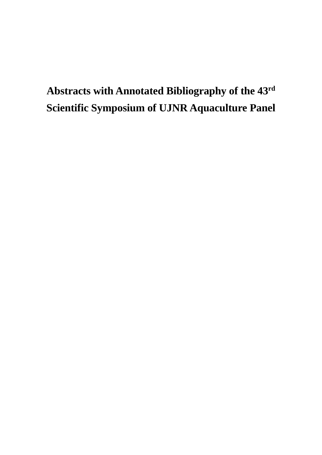# **Abstracts with Annotated Bibliography of the 43rd Scientific Symposium of UJNR Aquaculture Panel**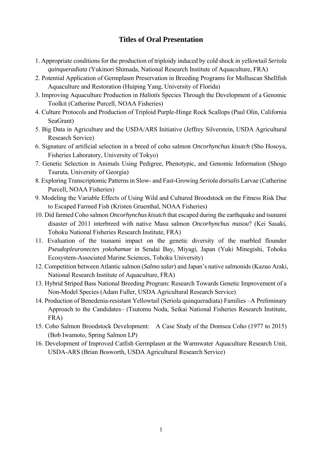# **Titles of Oral Presentation**

- 1. Appropriate conditions for the production of triploidy induced by cold shock in yellowtail *Seriola quinqueradiata* (Yukinori Shimada, National Research Institute of Aquaculture, FRA)
- 2. Potential Application of Germplasm Preservation in Breeding Programs for Molluscan Shellfish Aquaculture and Restoration (Huiping Yang, University of Florida)
- 3. Improving Aquaculture Production in *Haliotis* Species Through the Development of a Genomic Toolkit (Catherine Purcell, NOAA Fisheries)
- 4. Culture Protocols and Production of Triploid Purple-Hinge Rock Scallops (Paul Olin, California SeaGrant)
- 5. Big Data in Agriculture and the USDA/ARS Initiative (Jeffrey Silverstein, USDA Agricultural Research Service)
- 6. Signature of artificial selection in a breed of coho salmon *Oncorhynchus kisutch* (Sho Hosoya, Fisheries Laboratory, University of Tokyo)
- 7. Genetic Selection in Animals Using Pedigree, Phenotypic, and Genomic Information (Shogo Tsuruta, University of Georgia)
- 8. Exploring Transcriptomic Patterns in Slow- and Fast-Growing *Seriola dorsalis* Larvae (Catherine Purcell, NOAA Fisheries)
- 9. Modeling the Variable Effects of Using Wild and Cultured Broodstock on the Fitness Risk Due to Escaped Farmed Fish (Kristen Gruenthal, NOAA Fisheries)
- 10. Did farmed Coho salmon *Oncorhynchus kisutch* that escaped during the earthquake and tsunami disaster of 2011 interbreed with native Masu salmon *Oncorhynchus masou*? (Kei Sasaki, Tohoku National Fisheries Research Institute, FRA)
- 11. Evaluation of the tsunami impact on the genetic diversity of the marbled flounder *Pseudopleuronectes yokohamae* in Sendai Bay, Miyagi, Japan (Yuki Minegishi, Tohoku Ecosystem-Associated Marine Sciences, Tohoku University)
- 12. Competition between Atlantic salmon (*Salmo salar*) and Japan's native salmonids (Kazuo Araki, National Research Institute of Aquaculture, FRA)
- 13. Hybrid Striped Bass National Breeding Program: Research Towards Genetic Improvement of a Non-Model Species (Adam Fuller, USDA Agricultural Research Service)
- 14. Production of Benedenia-resistant Yellowtail (Seriola quinqueradiata) Families –A Preliminary Approach to the Candidates– (Tsutomu Noda, Seikai National Fisheries Research Institute, FRA)
- 15. Coho Salmon Broodstock Development: A Case Study of the Domsea Coho (1977 to 2015) (Bob Iwamoto, Spring Salmon LP)
- 16. Development of Improved Catfish Germplasm at the Warmwater Aquaculture Research Unit, USDA-ARS (Brian Bosworth, USDA Agricultural Research Service)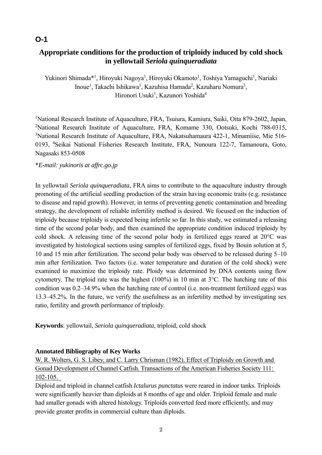# **Appropriate conditions for the production of triploidy induced by cold shock in yellowtail** *Seriola quinqueradiata*

Yukinori Shimada\*<sup>1</sup>, Hiroyuki Nagoya<sup>1</sup>, Hiroyuki Okamoto<sup>1</sup>, Toshiya Yamaguchi<sup>1</sup>, Nariaki Inoue<sup>1</sup>, Takachi Ishikawa<sup>1</sup>, Kazuhisa Hamada<sup>2</sup>, Kazuharu Nomura<sup>3</sup>, Hironori Usuki<sup>1</sup>, Kazunori Yoshida<sup>4</sup>

<sup>1</sup>National Research Institute of Aquaculture, FRA, Tsuiura, Kamiura, Saiki, Oita 879-2602, Japan, <sup>2</sup>National Research Institute of Aquaculture, FRA, Komame 330, Ootsuki, Kochi 788-0315, <sup>3</sup>National Research Institute of Aquaculture, FRA, Nakatsuhamaura 422-1, Minamiise, Mie 516-0193, <sup>4</sup> Seikai National Fisheries Research Institute, FRA, Nunoura 122-7, Tamanoura, Goto, Nagasaki 853-0508

#### \**E-mail: yukinoris at affrc.go.jp*

In yellowtail *Seriola quinqueradiata*, FRA aims to contribute to the aquaculture industry through promoting of the artificial seedling production of the strain having economic traits (e.g. resistance to disease and rapid growth). However, in terms of preventing genetic contamination and breeding strategy, the development of reliable infertility method is desired. We focused on the induction of triploidy because triploidy is expected being infertile so far. In this study, we estimated a releasing time of the second polar body, and then examined the appropriate condition induced triploidy by cold shock. A releasing time of the second polar body in fertilized eggs reared at 20°C was investigated by histological sections using samples of fertilized eggs, fixed by Bouin solution at 5, 10 and 15 min after fertilization. The second polar body was observed to be released during 5–10 min after fertilization. Two factors (i.e. water temperature and duration of the cold shock) were examined to maximize the triploidy rate. Ploidy was determined by DNA contents using flow cytometry. The triploid rate was the highest (100%) in 10 min at 3°C. The hatching rate of this condition was 0.2–34.9% when the hatching rate of control (i.e. non-treatment fertilized eggs) was 13.3–45.2%. In the future, we verify the usefulness as an infertility method by investigating sex ratio, fertility and growth performance of triploidy.

**Keywords**: yellowtail, *Seriola quinqueradiata*, triploid, cold shock

## **Annotated Bibliography of Key Works**

W. R. Wolters, G. S. Libey, and C. Larry Chrisman (1982). Effect of Triploidy on Growth and Gonad Development of Channel Catfish. Transactions of the American Fisheries Society 111: 102-105.

Diploid and triploid in channel catfish *Ictalurus punctatus* were reared in indoor tanks. Triploids were significantly heavier than diploids at 8 months of age and older. Triploid female and male had smaller gonads with altered histology. Triploids converted feed more efficiently, and may provide greater profits in commercial culture than diploids.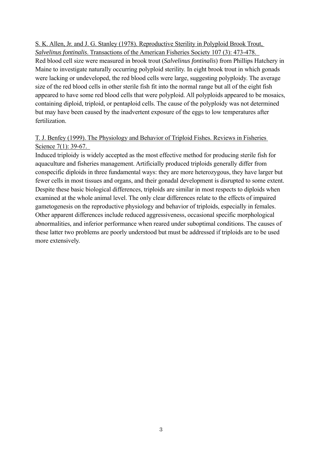S. K. Allen, Jr. and J. G. Stanley (1978). Reproductive Sterility in Polyploid Brook Trout, *Salvelinus fontinalis*. Transactions of the American Fisheries Society 107 (3): 473-478.

Red blood cell size were measured in brook trout (*Salvelinus fontinalis*) from Phillips Hatchery in Maine to investigate naturally occurring polyploid sterility. In eight brook trout in which gonads were lacking or undeveloped, the red blood cells were large, suggesting polyploidy. The average size of the red blood cells in other sterile fish fit into the normal range but all of the eight fish appeared to have some red blood cells that were polyploid. All polyploids appeared to be mosaics, containing diploid, triploid, or pentaploid cells. The cause of the polyploidy was not determined but may have been caused by the inadvertent exposure of the eggs to low temperatures after fertilization.

#### T. J. Benfey (1999). The Physiology and Behavior of Triploid Fishes. Reviews in Fisheries Science 7(1): 39-67.

Induced triploidy is widely accepted as the most effective method for producing sterile fish for aquaculture and fisheries management. Artificially produced triploids generally differ from conspecific diploids in three fundamental ways: they are more heterozygous, they have larger but fewer cells in most tissues and organs, and their gonadal development is disrupted to some extent. Despite these basic biological differences, triploids are similar in most respects to diploids when examined at the whole animal level. The only clear differences relate to the effects of impaired gametogenesis on the reproductive physiology and behavior of triploids, especially in females. Other apparent differences include reduced aggressiveness, occasional specific morphological abnormalities, and inferior performance when reared under suboptimal conditions. The causes of these latter two problems are poorly understood but must be addressed if triploids are to be used more extensively.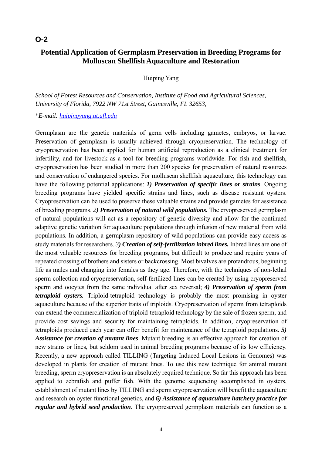# **Potential Application of Germplasm Preservation in Breeding Programs for Molluscan Shellfish Aquaculture and Restoration**

Huiping Yang

*School of Forest Resources and Conservation, Institute of Food and Agricultural Sciences, University of Florida, 7922 NW 71st Street, Gainesville, FL 32653,* 

\**E-mail: huipingyang.at.ufl.edu*

Germplasm are the genetic materials of germ cells including gametes, embryos, or larvae. Preservation of germplasm is usually achieved through cryopreservation. The technology of cryopreservation has been applied for human artificial reproduction as a clinical treatment for infertility, and for livestock as a tool for breeding programs worldwide. For fish and shellfish, cryopreservation has been studied in more than 200 species for preservation of natural resources and conservation of endangered species. For molluscan shellfish aquaculture, this technology can have the following potential applications: *1) Preservation of specific lines or strains*. Ongoing breeding programs have yielded specific strains and lines, such as disease resistant oysters. Cryopreservation can be used to preserve these valuable strains and provide gametes for assistance of breeding programs. *2) Preservation of natural wild populations.* The cryopreserved germplasm of natural populations will act as a repository of genetic diversity and allow for the continued adaptive genetic variation for aquaculture populations through infusion of new material from wild populations. In addition, a germplasm repository of wild populations can provide easy access as study materials for researchers. *3) Creation of self-fertilization inbred lines.* Inbred lines are one of the most valuable resources for breeding programs, but difficult to produce and require years of repeated crossing of brothers and sisters or backcrossing. Most bivalves are protandrous, beginning life as males and changing into females as they age. Therefore, with the techniques of non-lethal sperm collection and cryopreservation, self-fertilized lines can be created by using cryopreserved sperm and oocytes from the same individual after sex reversal; *4) Preservation of sperm from tetraploid oysters.* Triploid-tetraploid technology is probably the most promising in oyster aquaculture because of the superior traits of triploids. Cryopreservation of sperm from tetraploids can extend the commercialization of triploid-tetraploid technology by the sale of frozen sperm, and provide cost savings and security for maintaining tetraploids. In addition, cryopreservation of tetraploids produced each year can offer benefit for maintenance of the tetraploid populations. *5) Assistance for creation of mutant lines*. Mutant breeding is an effective approach for creation of new strains or lines, but seldom used in animal breeding programs because of its low efficiency. Recently, a new approach called TILLING (Targeting Induced Local Lesions in Genomes) was developed in plants for creation of mutant lines. To use this new technique for animal mutant breeding, sperm cryopreservation is an absolutely required technique. So far this approach has been applied to zebrafish and puffer fish. With the genome sequencing accomplished in oysters, establishment of mutant lines by TILLING and sperm cryopreservation will benefit the aquaculture and research on oyster functional genetics, and *6) Assistance of aquaculture hatchery practice for regular and hybrid seed production*. The cryopreserved germplasm materials can function as a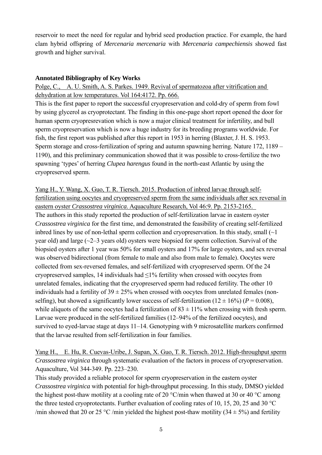reservoir to meet the need for regular and hybrid seed production practice. For example, the hard clam hybrid offspring of *Mercenaria mercenaria* with *Mercenaria campechiensis* showed fast growth and higher survival.

#### **Annotated Bibliography of Key Works**

Polge, C., A. U. Smith, A. S. Parkes. 1949. Revival of spermatozoa after vitrification and dehydration at low temperatures. Vol 164:4172. Pp. 666.

This is the first paper to report the successful cryopreservation and cold-dry of sperm from fowl by using glycerol as cryoprotectant. The finding in this one-page short report opened the door for human sperm cryopresrevation which is now a major clinical treatment for infertility, and bull sperm cryopreservation which is now a huge industry for its breeding programs worldwide. For fish, the first report was published after this report in 1953 in herring (Blaxter, J. H. S. 1953. Sperm storage and cross-fertilization of spring and autumn spawning herring. Nature 172, 1189 – 1190), and this preliminary communication showed that it was possible to cross-fertilize the two spawning 'types' of herring *Clupea harengus* found in the north-east Atlantic by using the cryopreserved sperm.

Yang H., Y. Wang, X. Guo, T. R. Tiersch. 2015. Production of inbred larvae through selffertilization using oocytes and cryopreserved sperm from the same individuals after sex reversal in eastern oyster *Crassostrea virginica*. Aquaculture Research, Vol 46:9. Pp. 2153-2165. The authors in this study reported the production of self-fertilization larvae in eastern oyster *Crassostrea virginica* for the first time, and demonstrated the feasibility of creating self-fertilized inbred lines by use of non-lethal sperm collection and cryopreservation. In this study, small  $(\sim]$ year old) and large  $(\sim]2-3$  years old) oysters were biopsied for sperm collection. Survival of the biopsied oysters after 1 year was 50% for small oysters and 17% for large oysters, and sex reversal was observed bidirectional (from female to male and also from male to female). Oocytes were collected from sex-reversed females, and self-fertilized with cryopreserved sperm. Of the 24 cryopreserved samples, 14 individuals had ≤1% fertility when crossed with oocytes from unrelated females, indicating that the cryopreserved sperm had reduced fertility. The other 10 individuals had a fertility of  $39 \pm 25\%$  when crossed with oocytes from unrelated females (nonselfing), but showed a significantly lower success of self-fertilization ( $12 \pm 16\%$ ) ( $P = 0.008$ ), while aliquots of the same oocytes had a fertilization of  $83 \pm 11\%$  when crossing with fresh sperm. Larvae were produced in the self-fertilized families (12–94% of the fertilized oocytes), and survived to eyed-larvae stage at days 11–14. Genotyping with 9 microsatellite markers confirmed that the larvae resulted from self-fertilization in four families.

Yang H., E. Hu, R. Cuevas-Uribe, J. Supan, X. Guo, T. R. Tiersch. 2012. High-throughput sperm *Crassostrea virginica* through systematic evaluation of the factors in process of cryopreservation. Aquaculture, Vol 344-349. Pp. 223–230.

This study provided a reliable protocol for sperm cryopreservation in the eastern oyster *Crassostrea virginica* with potential for high-throughput processing. In this study, DMSO yielded the highest post-thaw motility at a cooling rate of 20 °C/min when thawed at 30 or 40 °C among the three tested cryoprotectants. Further evaluation of cooling rates of 10, 15, 20, 25 and 30 °C /min showed that 20 or 25 °C /min yielded the highest post-thaw motility (34  $\pm$  5%) and fertility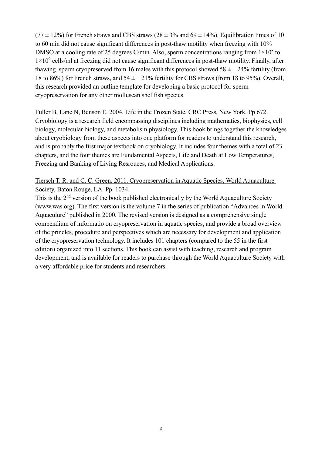$(77 \pm 12\%)$  for French straws and CBS straws  $(28 \pm 3\%$  and  $69 \pm 14\%)$ . Equilibration times of 10 to 60 min did not cause significant differences in post-thaw motility when freezing with 10% DMSO at a cooling rate of 25 degrees C/min. Also, sperm concentrations ranging from  $1 \times 10^8$  to  $1\times10^9$  cells/ml at freezing did not cause significant differences in post-thaw motility. Finally, after thawing, sperm cryopreserved from 16 males with this protocol showed  $58 \pm 24\%$  fertility (from 18 to 86%) for French straws, and  $54 \pm 21\%$  fertility for CBS straws (from 18 to 95%). Overall, this research provided an outline template for developing a basic protocol for sperm cryopreservation for any other molluscan shellfish species.

#### Fuller B, Lane N, Benson E. 2004. Life in the Frozen State*,* CRC Press, New York. Pp 672.

Cryobiology is a research field encompassing disciplines including mathematics, biophysics, cell biology, molecular biology, and metabolism physiology. This book brings together the knowledges about cryobiology from these aspects into one platform for readers to understand this research, and is probably the first major textbook on cryobiology. It includes four themes with a total of 23 chapters, and the four themes are Fundamental Aspects, Life and Death at Low Temperatures, Freezing and Banking of Living Resrouces, and Medical Applications.

## Tiersch T. R. and C. C. Green. 2011. Cryopreservation in Aquatic Species*,* World Aquaculture Society, Baton Rouge, LA. Pp. 1034.

This is the  $2<sup>nd</sup>$  version of the book published electronically by the World Aquaculture Society (www.was.org). The first version is the volume 7 in the series of publication "Advances in World Aquaculure" published in 2000. The revised version is designed as a comprehensive single compendium of informatio on cryopreservation in aquatic species, and provide a broad overview of the princles, procedure and perspectives which are necessary for development and application of the cryopreservation technology. It includes 101 chapters (compared to the 55 in the first edition) organized into 11 sections. This book can assist with teaching, research and program development, and is available for readers to purchase through the World Aquaculture Society with a very affordable price for students and researchers.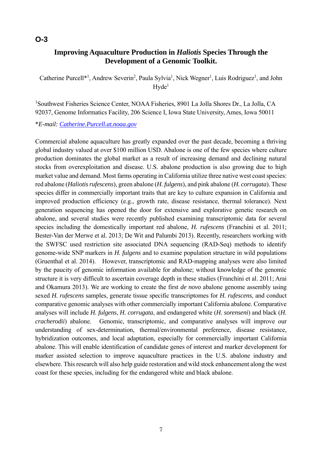# **Improving Aquaculture Production in** *Haliotis* **Species Through the Development of a Genomic Toolkit.**

Catherine Purcell<sup>\*1</sup>, Andrew Severin<sup>2</sup>, Paula Sylvia<sup>1</sup>, Nick Wegner<sup>1</sup>, Luis Rodriguez<sup>1</sup>, and John  $Hvde<sup>1</sup>$ 

1 Southwest Fisheries Science Center, NOAA Fisheries, 8901 La Jolla Shores Dr., La Jolla, CA 92037, Genome Informatics Facility, 206 Science I, Iowa State University, Ames, Iowa 50011

\**E-mail: Catherine.Purcell.at.noaa.gov*

Commercial abalone aquaculture has greatly expanded over the past decade, becoming a thriving global industry valued at over \$100 million USD. Abalone is one of the few species where culture production dominates the global market as a result of increasing demand and declining natural stocks from overexploitation and disease. U.S. abalone production is also growing due to high market value and demand. Most farms operating in California utilize three native west coast species: red abalone (*Haliotis rufescens*), green abalone (*H. fulgens*), and pink abalone (*H. corrugata*). These species differ in commercially important traits that are key to culture expansion in California and improved production efficiency (e.g., growth rate, disease resistance, thermal tolerance). Next generation sequencing has opened the door for extensive and explorative genetic research on abalone, and several studies were recently published examining transcriptomic data for several species including the domestically important red abalone, *H. rufescens* (Franchini et al. 2011; Bester-Van der Merwe et al. 2013; De Wit and Palumbi 2013). Recently, researchers working with the SWFSC used restriction site associated DNA sequencing (RAD-Seq) methods to identify genome-wide SNP markers in *H. fulgens* and to examine population structure in wild populations (Gruenthal et al. 2014). However, transcriptomic and RAD-mapping analyses were also limited by the paucity of genomic information available for abalone; without knowledge of the genomic structure it is very difficult to ascertain coverage depth in these studies (Franchini et al. 2011; Arai and Okamura 2013). We are working to create the first *de novo* abalone genome assembly using sexed *H. rufescens* samples, generate tissue specific transcriptomes for *H. rufescens*, and conduct comparative genomic analyses with other commercially important California abalone. Comparative analyses will include *H. fulgens*, *H. corrugata*, and endangered white (*H. sorenseni*) and black (*H. cracherodii*) abalone. Genomic, transcriptomic, and comparative analyses will improve our understanding of sex-determination, thermal/environmental preference, disease resistance, hybridization outcomes, and local adaptation, especially for commercially important California abalone. This will enable identification of candidate genes of interest and marker development for marker assisted selection to improve aquaculture practices in the U.S. abalone industry and elsewhere. This research will also help guide restoration and wild stock enhancement along the west coast for these species, including for the endangered white and black abalone.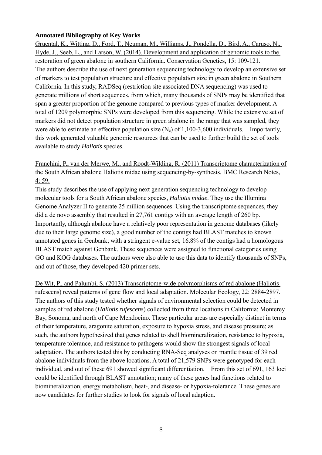#### **Annotated Bibliography of Key Works**

Gruental, K., Witting, D., Ford, T., Neuman, M., Williams, J., Pondella, D., Bird, A., Caruso, N., Hyde, J., Seeb, L., and Larson, W. (2014). Development and application of genomic tools to the restoration of green abalone in southern California. Conservation Genetics, 15: 109-121. The authors describe the use of next generation sequencing technology to develop an extensive set of markers to test population structure and effective population size in green abalone in Southern California. In this study, RADSeq (restriction site associated DNA sequencing) was used to generate millions of short sequences, from which, many thousands of SNPs may be identified that span a greater proportion of the genome compared to previous types of marker development. A total of 1209 polymorphic SNPs were developed from this sequencing. While the extensive set of markers did not detect population structure in green abalone in the range that was sampled, they were able to estimate an effective population size  $(N_e)$  of 1,100-3,600 individuals. Importantly, this work generated valuable genomic resources that can be used to further build the set of tools available to study *Haliotis* species.

Franchini, P., van der Merwe, M., and Roodt-Wilding, R. (2011) Transcriptome characterization of the South African abalone Haliotis midae using sequencing-by-synthesis. BMC Research Notes, 4: 59.

This study describes the use of applying next generation sequencing technology to develop molecular tools for a South African abalone species, *Haliotis midae*. They use the Illumina Genome Analyzer II to generate 25 million sequences. Using the transcriptome sequences, they did a de novo assembly that resulted in 27,761 contigs with an average length of 260 bp. Importantly, although abalone have a relatively poor representation in genome databases (likely due to their large genome size), a good number of the contigs had BLAST matches to known annotated genes in Genbank; with a stringent e-value set, 16.8% of the contigs had a homologous BLAST match against Genbank. These sequences were assigned to functional categories using GO and KOG databases. The authors were also able to use this data to identify thousands of SNPs, and out of those, they developed 420 primer sets.

De Wit, P., and Palumbi, S. (2013) Transcriptome-wide polymorphisms of red abalone (Haliotis rufescens) reveal patterns of gene flow and local adaptation. Molecular Ecology, 22: 2884-2897. The authors of this study tested whether signals of environmental selection could be detected in samples of red abalone (*Haliotis rufescens*) collected from three locations in California: Monterey Bay, Sonoma, and north of Cape Mendocino. These particular areas are especially distinct in terms of their temperature, aragonite saturation, exposure to hypoxia stress, and disease pressure; as such, the authors hypothesized that genes related to shell biomineralization, resistance to hypoxia, temperature tolerance, and resistance to pathogens would show the strongest signals of local adaptation. The authors tested this by conducting RNA-Seq analyses on mantle tissue of 39 red abalone individuals from the above locations. A total of 21,579 SNPs were genotyped for each individual, and out of these 691 showed significant differentiation. From this set of 691, 163 loci could be identified through BLAST annotation; many of these genes had functions related to biomineralization, energy metabolism, heat-, and disease- or hypoxia-tolerance. These genes are now candidates for further studies to look for signals of local adaption.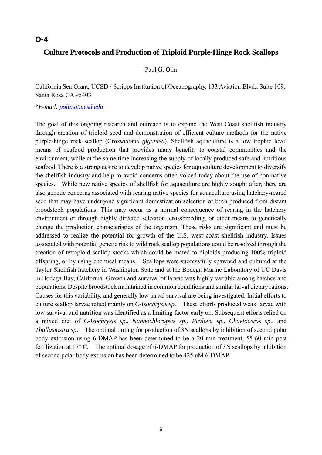# **Culture Protocols and Production of Triploid Purple-Hinge Rock Scallops**

#### Paul G. Olin

California Sea Grant, UCSD / Scripps Institution of Oceanography, 133 Aviation Blvd., Suite 109, Santa Rosa CA 95403

#### \**E-mail: polin.at.ucsd.edu*

The goal of this ongoing research and outreach is to expand the West Coast shellfish industry through creation of triploid seed and demonstration of efficient culture methods for the native purple-hinge rock scallop (C*rassadoma gigantea*). Shellfish aquaculture is a low trophic level means of seafood production that provides many benefits to coastal communities and the environment, while at the same time increasing the supply of locally produced safe and nutritious seafood. There is a strong desire to develop native species for aquaculture development to diversify the shellfish industry and help to avoid concerns often voiced today about the use of non-native species. While new native species of shellfish for aquaculture are highly sought after, there are also genetic concerns associated with rearing native species for aquaculture using hatchery-reared seed that may have undergone significant domestication selection or been produced from distant broodstock populations. This may occur as a normal consequence of rearing in the hatchery environment or through highly directed selection, crossbreeding, or other means to genetically change the production characteristics of the organism. These risks are significant and must be addressed to realize the potential for growth of the U.S. west coast shellfish industry. Issues associated with potential genetic risk to wild rock scallop populations could be resolved through the creation of tetraploid scallop stocks which could be mated to diploids producing 100% triploid offspring, or by using chemical means. Scallops were successfully spawned and cultured at the Taylor Shellfish hatchery in Washington State and at the Bodega Marine Laboratory of UC Davis in Bodega Bay, California. Growth and survival of larvae was highly variable among batches and populations. Despite broodstock maintained in common conditions and similar larval dietary rations. Causes for this variability, and generally low larval survival are being investigated. Initial efforts to culture scallop larvae relied mainly on *C-Isochrysis sp*. These efforts produced weak larvae with low survival and nutrition was identified as a limiting factor early on. Subsequent efforts relied on a mixed diet of *C-Isochrysis sp*., *Nannochloropsis sp*., *Pavlova sp*., *Chaetoceros sp*., and *Thallasiosira sp*. The optimal timing for production of 3N scallops by inhibition of second polar body extrusion using 6-DMAP has been determined to be a 20 min treatment, 55-60 min post fertilization at 17° C. The optimal dosage of 6-DMAP for production of 3N scallops by inhibition of second polar body extrusion has been determined to be 425 uM 6-DMAP.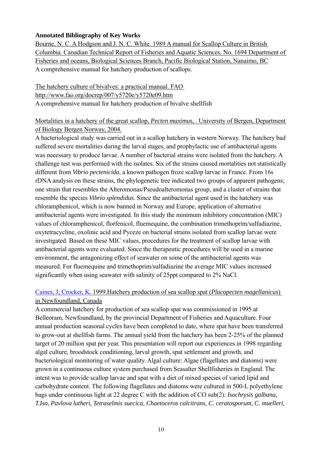#### **Annotated Bibliography of Key Works**

Bourne, N. C. A Hodgson and J. N. C. White. 1989 A manual for Scallop Culture in British Columbia. Canadian Technical Report of Fisheries and Aquatic Sciences. No. 1694 Department of Fisheries and oceans, Biological Sciences Branch, Pacific Biological Station, Nanaimo, BC A comprehensive manual for hatchery production of scallops.

The hatchery culture of bivalves: a practical manual. FAO http://www.fao.org/docrep/007/y5720e/y5720e09.htm A comprehensive manual for hatchery production of bivalve shellfish

## Mortalities in a hatchery of the great scallop, *Pecten maximus*, . University of Bergen, Department of Biology Bergen Norway, 2004.

A bacteriological study was carried out in a scallop hatchery in western Norway. The hatchery bad suffered severe mortalities during the larval stages, and prophylactic use of antibacterial agents was necessary to produce larvae. A number of bacterial strains were isolated from the hatchery. A challenge test was performed with the isolates. Six of the strains caused mortalities not statistically different from *Vibrio pectenicida*, a known pathogen froze scallop larvae in France. From 16s rDNA analysis on these strains, the phylogenetic tree indicated two groups of apparent pathogens; one strain that resembles the Alteromonas/Pseudoalteromonas group, and a cluster of strains that resemble the species *Vibrio splendidus*. Since the antibacterial agent used in the hatchery was chloramphenicol, which is now banned in Norway and Europe, application of alternative antibacterial agents were investigated. In this study the minimum inhibitory concentration (MIC) values of chloramphenicol, florfenicol, fluemequine, the combination trimethoprim/sulfadiazine, oxytetracycline, oxolinic acid and Pyceze on bacterial strains isolated from scallop larvae were investigated. Based on these MIC values, procedures for the treatment of scallop larvae with antibacterial agents were evaluated. Since the therapeutic procedures will be used in a marine environment, the antagonizing effect of seawater on some of the antibacterial agents was measured. For fluemequine and trimethoprim/sulfadiazine the average MIC values increased significantly when using seawater with salinity of 25ppt compared to 2% NaCl.

## Caines, J; Crocker, K. 1999.Hatchery production of sea scallop spat (*Placopecten magellanicus*) in Newfoundland, Canada

A commercial hatchery for production of sea scallop spat was commissioned in 1995 at Belleoram, Newfoundland, by the provincial Department of Fisheries and Aquaculture. Four annual production seasonal cycles have been completed to date, where spat have been transferred to grow-out at shellfish farms. The annual yield from the hatchery has been 2-25% of the planned target of 20 million spat per year. This presentation will report our experiences in 1998 regarding algal culture, broodstock conditioning, larval growth, spat settlement and growth, and bacteriological monitoring of water quality. Algal culture: Algae (flagellates and diatoms) were grown in a continuous culture system purchased from Seasalter Shellfisheries in England. The intent was to provide scallop larvae and spat with a diet of mixed species of varied lipid and carbohydrate content. The following flagellates and diatoms were cultured in 500-L polyethylene bags under continuous light at 22 degree C with the addition of CO sub(2): *Isochrysis galbana, T.Iso, Pavlova lutheri, Tetraselmis suecica, Chaetoceros calcitrans, C. ceratosporum, C. muelleri,*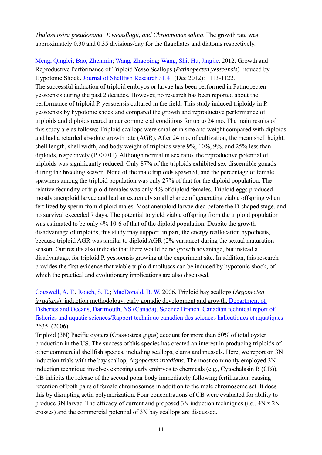*Thalassiosira pseudonana, T. weissflogii, and Chroomonas salina*. The growth rate was approximately 0.30 and 0.35 divisions/day for the flagellates and diatoms respectively.

Meng, Qinglei; Bao, Zhenmin; Wang, Zhaoping; Wang, Shi; Hu, Jingjie. 2012. Growth and Reproductive Performance of Triploid Yesso Scallops (*Patinopecten yessoensis*) Induced by Hypotonic Shock. Journal of Shellfish Research 31.4 (Dec 2012): 1113-1122. The successful induction of triploid embryos or larvae has been performed in Patinopecten yessoensis during the past 2 decades. However, no research has been reported about the performance of triploid P. yessoensis cultured in the field. This study induced triploidy in P. yessoensis by hypotonic shock and compared the growth and reproductive performance of triploids and diploids reared under commercial conditions for up to 24 mo. The main results of this study are as follows: Triploid scallops were smaller in size and weight compared with diploids and had a retarded absolute growth rate (AGR). After 24 mo. of cultivation, the mean shell height, shell length, shell width, and body weight of triploids were 9%, 10%, 9%, and 25% less than diploids, respectively ( $P \le 0.01$ ). Although normal in sex ratio, the reproductive potential of triploids was significantly reduced. Only 87% of the triploids exhibited sex-discernible gonads during the breeding season. None of the male triploids spawned, and the percentage of female spawners among the triploid population was only 27% of that for the diploid population. The relative fecundity of triploid females was only 4% of diploid females. Triploid eggs produced mostly aneuploid larvae and had an extremely small chance of generating viable offspring when fertilized by sperm from diploid males. Most aneuploid larvae died before the D-shaped stage, and no survival exceeded 7 days. The potential to yield viable offspring from the triploid population was estimated to be only 4% 10-6 of that of the diploid population. Despite the growth disadvantage of triploids, this study may support, in part, the energy reallocation hypothesis, because triploid AGR was similar to diploid AGR (2% variance) during the sexual maturation season. Our results also indicate that there would be no growth advantage, but instead a disadvantage, for triploid P. yessoensis growing at the experiment site. In addition, this research provides the first evidence that viable triploid molluscs can be induced by hypotonic shock, of which the practical and evolutionary implications are also discussed.

Cogswell, A. T., Roach, S. E.; MacDonald, B. W. 2006. Triploid bay scallops (*Argopecten irradians*): induction methodology, early gonadic development and growth. Department of Fisheries and Oceans, Dartmouth, NS (Canada). Science Branch. Canadian technical report of fisheries and aquatic sciences/Rapport technique canadien des sciences halieutiques et aquatiques 2635. (2006).

Triploid (3N) Pacific oysters (Crassostrea gigas) account for more than 50% of total oyster production in the US. The success of this species has created an interest in producing triploids of other commercial shellfish species, including scallops, clams and mussels. Here, we report on 3N induction trials with the bay scallop, *Argopecten irradians*. The most commonly employed 3N induction technique involves exposing early embryos to chemicals (e.g., Cytochalasin B (CB)). CB inhibits the release of the second polar body immediately following fertilization, causing retention of both pairs of female chromosomes in addition to the male chromosome set. It does this by disrupting actin polymerization. Four concentrations of CB were evaluated for ability to produce 3N larvae. The efficacy of current and proposed 3N induction techniques (i.e., 4N x 2N crosses) and the commercial potential of 3N bay scallops are discussed.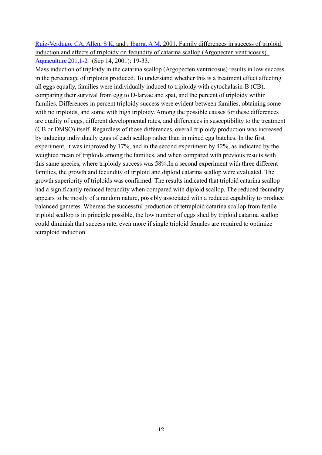Ruiz-Verdugo, CA; Allen, S K, and ; Ibarra, A M. 2001. Family differences in success of triploid induction and effects of triploidy on fecundity of catarina scallop (Argopecten ventricosus). Aquaculture 201.1-2 (Sep 14, 2001): 19-33.

Mass induction of triploidy in the catarina scallop (Argopecten ventricosus) results in low success in the percentage of triploids produced. To understand whether this is a treatment effect affecting all eggs equally, families were individually induced to triploidy with cytochalasin-B (CB), comparing their survival from egg to D-larvae and spat, and the percent of triploidy within families. Differences in percent triploidy success were evident between families, obtaining some with no triploids, and some with high triploidy. Among the possible causes for these differences are quality of eggs, different developmental rates, and differences in susceptibility to the treatment (CB or DMSO) itself. Regardless of those differences, overall triploidy production was increased by inducing individually eggs of each scallop rather than in mixed egg batches. In the first experiment, it was improved by 17%, and in the second experiment by 42%, as indicated by the weighted mean of triploids among the families, and when compared with previous results with this same species, where triploidy success was 58%.In a second experiment with three different families, the growth and fecundity of triploid and diploid catarina scallop were evaluated. The growth superiority of triploids was confirmed. The results indicated that triploid catarina scallop had a significantly reduced fecundity when compared with diploid scallop. The reduced fecundity appears to be mostly of a random nature, possibly associated with a reduced capability to produce balanced gametes. Whereas the successful production of tetraploid catarina scallop from fertile triploid scallop is in principle possible, the low number of eggs shed by triploid catarina scallop could diminish that success rate, even more if single triploid females are required to optimize tetraploid induction.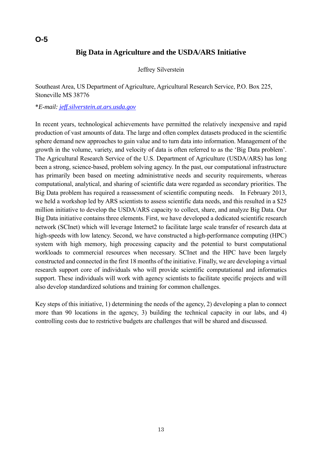# **Big Data in Agriculture and the USDA/ARS Initiative**

Jeffrey Silverstein

Southeast Area, US Department of Agriculture, Agricultural Research Service, P.O. Box 225, Stoneville MS 38776

#### \**E-mail: jeff.silverstein.at.ars.usda.gov*

In recent years, technological achievements have permitted the relatively inexpensive and rapid production of vast amounts of data. The large and often complex datasets produced in the scientific sphere demand new approaches to gain value and to turn data into information. Management of the growth in the volume, variety, and velocity of data is often referred to as the 'Big Data problem'. The Agricultural Research Service of the U.S. Department of Agriculture (USDA/ARS) has long been a strong, science-based, problem solving agency. In the past, our computational infrastructure has primarily been based on meeting administrative needs and security requirements, whereas computational, analytical, and sharing of scientific data were regarded as secondary priorities. The Big Data problem has required a reassessment of scientific computing needs. In February 2013, we held a workshop led by ARS scientists to assess scientific data needs, and this resulted in a \$25 million initiative to develop the USDA/ARS capacity to collect, share, and analyze Big Data. Our Big Data initiative contains three elements. First, we have developed a dedicated scientific research network (SCInet) which will leverage Internet2 to facilitate large scale transfer of research data at high-speeds with low latency. Second, we have constructed a high-performance computing (HPC) system with high memory, high processing capacity and the potential to burst computational workloads to commercial resources when necessary. SCInet and the HPC have been largely constructed and connected in the first 18 months of the initiative. Finally, we are developing a virtual research support core of individuals who will provide scientific computational and informatics support. These individuals will work with agency scientists to facilitate specific projects and will also develop standardized solutions and training for common challenges.

Key steps of this initiative, 1) determining the needs of the agency, 2) developing a plan to connect more than 90 locations in the agency, 3) building the technical capacity in our labs, and 4) controlling costs due to restrictive budgets are challenges that will be shared and discussed.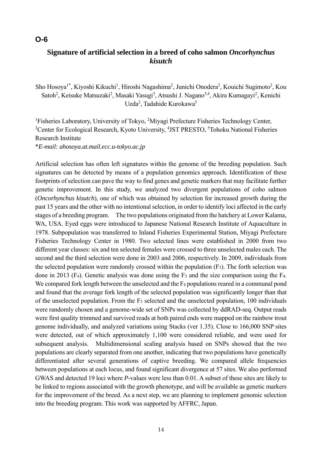# **Signature of artificial selection in a breed of coho salmon** *Oncorhynchus kisutch*

Sho Hosoya<sup>1\*</sup>, Kiyoshi Kikuchi<sup>1</sup>, Hiroshi Nagashima<sup>2</sup>, Junichi Onodera<sup>2</sup>, Kouichi Sugimoto<sup>2</sup>, Kou Satoh<sup>2</sup>, Keisuke Matsuzaki<sup>2</sup>, Masaki Yasugi<sup>3</sup>, Atsushi J. Nagano<sup>3,4</sup>, Akira Kumagayi<sup>2</sup>, Kenichi Ueda<sup>2</sup>, Tadahide Kurokawa<sup>5</sup>

<sup>1</sup>Fisheries Laboratory, University of Tokyo, <sup>2</sup>Miyagi Prefecture Fisheries Technology Center, <sup>3</sup> Center for Ecological Research, Kyoto University, <sup>4</sup>JST PRESTO, <sup>5</sup>Tohoku National Fisheries Research Institute \**E-mail: ahosoya.at.mail.ecc.u-tokyo.ac.jp*

Artificial selection has often left signatures within the genome of the breeding population. Such signatures can be detected by means of a population genomics approach. Identification of these footprints of selection can pave the way to find genes and genetic markers that may facilitate further genetic improvement. In this study, we analyzed two divergent populations of coho salmon (*Oncorhynchus kisutch*), one of which was obtained by selection for increased growth during the past 15 years and the other with no intentional selection, in order to identify loci affected in the early stages of a breeding program. The two populations originated from the hatchery at Lower Kalama, WA, USA. Eyed eggs were introduced to Japanese National Research Institute of Aquaculture in 1978. Subpopulation was transferred to Inland Fisheries Experimental Station, Miyagi Prefecture Fisheries Technology Center in 1980. Two selected lines were established in 2000 from two different year classes: six and ten selected females were crossed to three unselected males each. The second and the third selection were done in 2003 and 2006, respectively. In 2009, individuals from the selected population were randomly crossed within the population (F3). The forth selection was done in 2013 (F4). Genetic analysis was done using the F3 and the size comparison using the F4. We compared fork length between the unselected and the  $F_4$  populations reared in a communal pond and found that the average fork length of the selected population was significantly longer than that of the unselected population. From the F3 selected and the unselected population, 100 individuals were randomly chosen and a genome-wide set of SNPs was collected by ddRAD-seq. Output reads were first quality trimmed and survived reads at both paired ends were mapped on the rainbow trout genome individually, and analyzed variations using Stacks (ver 1.35). Close to 166,000 SNP sites were detected, out of which approximately 1,100 were considered reliable, and were used for subsequent analysis. Multidimensional scaling analysis based on SNPs showed that the two populations are clearly separated from one another, indicating that two populations have genetically differentiated after several generations of captive breeding. We compared allele frequencies between populations at each locus, and found significant divergence at 57 sites. We also performed GWAS and detected 19 loci where *P*-values were less than 0.01. A subset of these sites are likely to be linked to regions associated with the growth phenotype, and will be available as genetic markers for the improvement of the breed. As a next step, we are planning to implement genomic selection into the breeding program. This work was supported by AFFRC, Japan.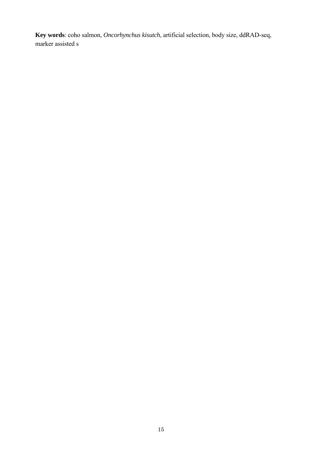**Key words**: coho salmon, *Oncorhynchus kisutch*, artificial selection, body size, ddRAD-seq, marker assisted s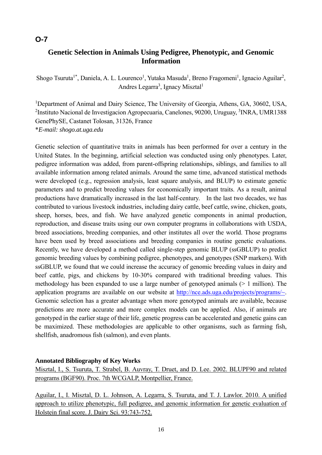# **Genetic Selection in Animals Using Pedigree, Phenotypic, and Genomic Information**

Shogo Tsuruta<sup>1\*</sup>, Daniela, A. L. Lourenco<sup>1</sup>, Yutaka Masuda<sup>1</sup>, Breno Fragomeni<sup>1</sup>, Ignacio Aguilar<sup>2</sup>, Andres Legarra<sup>3</sup>, Ignacy Misztal<sup>1</sup>

<sup>1</sup>Department of Animal and Dairy Science, The University of Georgia, Athens, GA, 30602, USA, <sup>2</sup>Instituto Nacional de Investigacion Agropecuaria, Canelones, 90200, Uruguay, <sup>3</sup>INRA, UMR1388 GenePhySE, Castanet Tolosan, 31326, France \**E-mail: shogo.at.uga.edu*

Genetic selection of quantitative traits in animals has been performed for over a century in the United States. In the beginning, artificial selection was conducted using only phenotypes. Later, pedigree information was added, from parent-offspring relationships, siblings, and families to all available information among related animals. Around the same time, advanced statistical methods were developed (e.g., regression analysis, least square analysis, and BLUP) to estimate genetic parameters and to predict breeding values for economically important traits. As a result, animal productions have dramatically increased in the last half-century. In the last two decades, we has contributed to various livestock industries, including dairy cattle, beef cattle, swine, chicken, goats, sheep, horses, bees, and fish. We have analyzed genetic components in animal production, reproduction, and disease traits using our own computer programs in collaborations with USDA, breed associations, breeding companies, and other institutes all over the world. Those programs have been used by breed associations and breeding companies in routine genetic evaluations. Recently, we have developed a method called single-step genomic BLUP (ssGBLUP) to predict genomic breeding values by combining pedigree, phenotypes, and genotypes (SNP markers). With ssGBLUP, we found that we could increase the accuracy of genomic breeding values in dairy and beef cattle, pigs, and chickens by 10-30% compared with traditional breeding values. This methodology has been expanded to use a large number of genotyped animals  $(> 1)$  million). The application programs are available on our website at http://nce.ads.uga.edu/projects/programs/~. Genomic selection has a greater advantage when more genotyped animals are available, because predictions are more accurate and more complex models can be applied. Also, if animals are genotyped in the earlier stage of their life, genetic progress can be accelerated and genetic gains can be maximized. These methodologies are applicable to other organisms, such as farming fish, shellfish, anadromous fish (salmon), and even plants.

#### **Annotated Bibliography of Key Works**

Misztal, I., S. Tsuruta, T. Strabel, B. Auvray, T. Druet, and D. Lee. 2002. BLUPF90 and related programs (BGF90). Proc. 7th WCGALP, Montpellier, France.

Aguilar, I., I. Misztal, D. L. Johnson, A. Legarra, S. Tsuruta, and T. J. Lawlor. 2010. A unified approach to utilize phenotypic, full pedigree, and genomic information for genetic evaluation of Holstein final score. J. Dairy Sci. 93:743-752.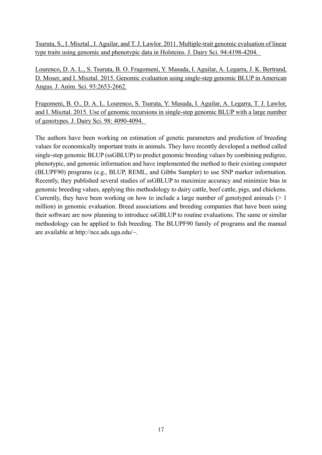Tsuruta, S., I. Misztal., I. Aguilar, and T. J. Lawlor. 2011. Multiple-trait genomic evaluation of linear type traits using genomic and phenotypic data in Holsteins. J. Dairy Sci. 94:4198-4204.

Lourenco, D. A. L., S. Tsuruta, B. O. Fragomeni, Y. Masuda, I. Aguilar, A. Legarra, J. K. Bertrand, D. Moser, and I. Misztal. 2015. Genomic evaluation using single-step genomic BLUP in American Angus. J. Anim. Sci. 93:2653-2662.

Fragomeni, B. O., D. A. L. Lourenco, S. Tsuruta, Y. Masuda, I. Aguilar, A. Legarra, T. J. Lawlor, and I. Misztal. 2015. Use of genomic recursions in single-step genomic BLUP with a large number of genotypes. J. Dairy Sci. 98: 4090-4094.

The authors have been working on estimation of genetic parameters and prediction of breeding values for economically important traits in animals. They have recently developed a method called single-step genomic BLUP (ssGBLUP) to predict genomic breeding values by combining pedigree, phenotypic, and genomic information and have implemented the method to their existing computer (BLUPF90) programs (e.g., BLUP, REML, and Gibbs Sampler) to use SNP marker information. Recently, they published several studies of ssGBLUP to maximize accuracy and minimize bias in genomic breeding values, applying this methodology to dairy cattle, beef cattle, pigs, and chickens. Currently, they have been working on how to include a large number of genotyped animals  $(> 1)$ million) in genomic evaluation. Breed associations and breeding companies that have been using their software are now planning to introduce ssGBLUP to routine evaluations. The same or similar methodology can be applied to fish breeding. The BLUPF90 family of programs and the manual are available at http://nce.ads.uga.edu/~.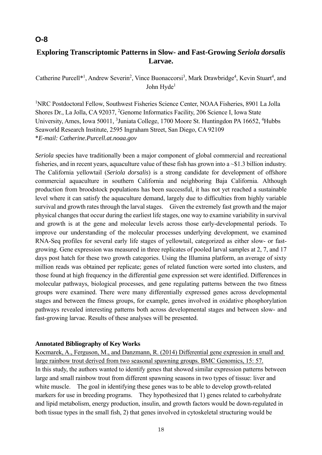# **Exploring Transcriptomic Patterns in Slow- and Fast-Growing** *Seriola dorsalis* **Larvae.**

Catherine Purcell<sup>\*1</sup>, Andrew Severin<sup>2</sup>, Vince Buonaccorsi<sup>3</sup>, Mark Drawbridge<sup>4</sup>, Kevin Stuart<sup>4</sup>, and John Hyde<sup>1</sup>

<sup>1</sup>NRC Postdoctoral Fellow, Southwest Fisheries Science Center, NOAA Fisheries, 8901 La Jolla Shores Dr., La Jolla, CA 92037, <sup>2</sup>Genome Informatics Facility, 206 Science I, Iowa State University, Ames, Iowa 50011, <sup>3</sup> Juniata College, 1700 Moore St. Huntingdon PA 16652, <sup>4</sup> Hubbs Seaworld Research Institute, 2595 Ingraham Street, San Diego, CA 92109 \**E-mail: Catherine.Purcell.at.noaa.gov*

*Seriola* species have traditionally been a major component of global commercial and recreational fisheries, and in recent years, aquaculture value of these fish has grown into a ~\$1.3 billion industry. The California yellowtail (*Seriola dorsalis*) is a strong candidate for development of offshore commercial aquaculture in southern California and neighboring Baja California. Although production from broodstock populations has been successful, it has not yet reached a sustainable level where it can satisfy the aquaculture demand, largely due to difficulties from highly variable survival and growth rates through the larval stages. Given the extremely fast growth and the major physical changes that occur during the earliest life stages, one way to examine variability in survival and growth is at the gene and molecular levels across those early-developmental periods. To improve our understanding of the molecular processes underlying development, we examined RNA-Seq profiles for several early life stages of yellowtail, categorized as either slow- or fastgrowing. Gene expression was measured in three replicates of pooled larval samples at 2, 7, and 17 days post hatch for these two growth categories. Using the Illumina platform, an average of sixty million reads was obtained per replicate; genes of related function were sorted into clusters, and those found at high frequency in the differential gene expression set were identified. Differences in molecular pathways, biological processes, and gene regulating patterns between the two fitness groups were examined. There were many differentially expressed genes across developmental stages and between the fitness groups, for example, genes involved in oxidative phosphorylation pathways revealed interesting patterns both across developmental stages and between slow- and fast-growing larvae. Results of these analyses will be presented.

#### **Annotated Bibliography of Key Works**

Kocmarek, A., Ferguson, M., and Danzmann, R. (2014) Differential gene expression in small and large rainbow trout derived from two seasonal spawning groups. BMC Genomics, 15: 57. In this study, the authors wanted to identify genes that showed similar expression patterns between large and small rainbow trout from different spawning seasons in two types of tissue: liver and white muscle. The goal in identifying these genes was to be able to develop growth-related markers for use in breeding programs. They hypothesized that 1) genes related to carbohydrate and lipid metabolism, energy production, insulin, and growth factors would be down-regulated in both tissue types in the small fish, 2) that genes involved in cytoskeletal structuring would be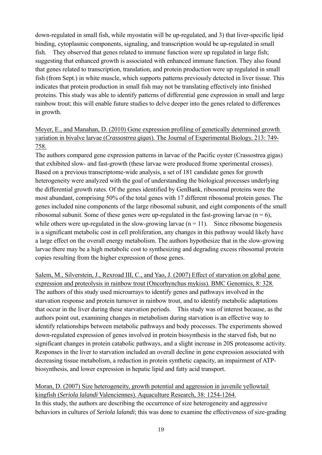down-regulated in small fish, while myostatin will be up-regulated, and 3) that liver-specific lipid binding, cytoplasmic components, signaling, and transcription would be up-regulated in small fish. They observed that genes related to immune function were up regulated in large fish; suggesting that enhanced growth is associated with enhanced immune function. They also found that genes related to transcription, translation, and protein production were up regulated in small fish (from Sept.) in white muscle, which supports patterns previously detected in liver tissue. This indicates that protein production in small fish may not be translating effectively into finished proteins. This study was able to identify patterns of differential gene expression in small and large rainbow trout; this will enable future studies to delve deeper into the genes related to differences in growth.

# Meyer, E., and Manahan, D. (2010) Gene expression profiling of genetically determined growth variation in bivalve larvae (*Crassostrea gigas*). The Journal of Experimental Biology, 213: 749- 758.

The authors compared gene expression patterns in larvae of the Pacific oyster (Crassostrea gigas) that exhibited slow- and fast-growth (these larvae were produced frome xperimental crosses). Based on a previous transcriptome-wide analysis, a set of 181 candidate genes for growth heterogeneity were analyzed with the goal of understanding the biological processes underlying the differential growth rates. Of the genes identified by GenBank, ribosomal proteins were the most abundant, comprising 50% of the total genes with 17 different ribosomal protein genes. The genes included nine components of the large ribosomal subunit, and eight components of the small ribosomal subunit. Some of these genes were up-regulated in the fast-growing larvae ( $n = 6$ ), while others were up-regulated in the slow-growing larvae  $(n = 11)$ . Since ribosome biogenesis is a significant metabolic cost in cell proliferation, any changes in this pathway would likely have a large effect on the overall energy metabolism. The authors hypothesize that in the slow-growing larvae there may be a high metabolic cost to synthesizing and degrading excess ribosomal protein copies resulting from the higher expression of those genes.

Salem, M., Silverstein, J., Rexroad III, C., and Yao, J. (2007) Effect of starvation on global gene expression and proteolysis in rainbow trout (Oncorhynchus mykiss). BMC Genomics, 8: 328. The authors of this study used microarrays to identify genes and pathways involved in the starvation response and protein turnover in rainbow trout, and to identify metabolic adaptations that occur in the liver during these starvation periods. This study was of interest because, as the authors point out, examining changes in metabolism during starvation is an effective way to identify relationships between metabolic pathways and body processes. The experiments showed down-regulated expression of genes involved in protein biosynthesis in the starved fish, but no significant changes in protein catabolic pathways, and a slight increase in 20S proteasome activity. Responses in the liver to starvation included an overall decline in gene expression associated with decreasing tissue metabolism, a reduction in protein synthetic capacity, an impairment of ATPbiosynthesis, and lower expression in hepatic lipid and fatty acid transport.

Moran, D. (2007) Size heterogeneity, growth potential and aggression in juvenile yellowtail kingfish (*Seriola lalandi* Valenciennes). Aquaculture Research, 38: 1254-1264. In this study, the authors are describing the occurrence of size heterogeneity and aggressive behaviors in cultures of *Seriola lalandi*; this was done to examine the effectiveness of size-grading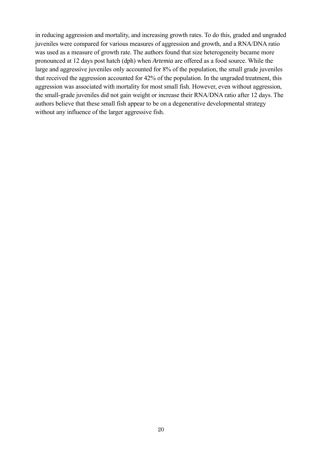in reducing aggression and mortality, and increasing growth rates. To do this, graded and ungraded juveniles were compared for various measures of aggression and growth, and a RNA/DNA ratio was used as a measure of growth rate. The authors found that size heterogeneity became more pronounced at 12 days post hatch (dph) when *Artemia* are offered as a food source. While the large and aggressive juveniles only accounted for 8% of the population, the small grade juveniles that received the aggression accounted for 42% of the population. In the ungraded treatment, this aggression was associated with mortality for most small fish. However, even without aggression, the small-grade juveniles did not gain weight or increase their RNA/DNA ratio after 12 days. The authors believe that these small fish appear to be on a degenerative developmental strategy without any influence of the larger aggressive fish.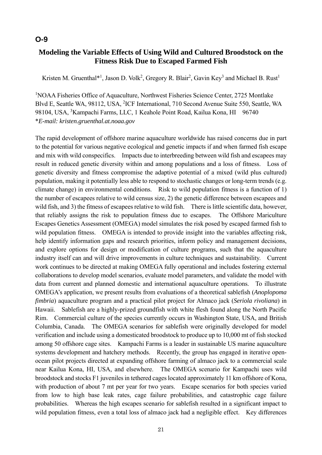# **Modeling the Variable Effects of Using Wild and Cultured Broodstock on the Fitness Risk Due to Escaped Farmed Fish**

Kristen M. Gruenthal $*$ <sup>1</sup>, Jason D. Volk<sup>2</sup>, Gregory R. Blair<sup>2</sup>, Gavin Key<sup>3</sup> and Michael B. Rust<sup>1</sup>

<sup>1</sup>NOAA Fisheries Office of Aquaculture, Northwest Fisheries Science Center, 2725 Montlake Blvd E, Seattle WA, 98112, USA, <sup>2</sup>ICF International, 710 Second Avenue Suite 550, Seattle, WA 98104, USA, <sup>3</sup>Kampachi Farms, LLC, 1 Keahole Point Road, Kailua Kona, HI 96740 \**E-mail: kristen.gruenthal.at.noaa.gov* 

The rapid development of offshore marine aquaculture worldwide has raised concerns due in part to the potential for various negative ecological and genetic impacts if and when farmed fish escape and mix with wild conspecifics. Impacts due to interbreeding between wild fish and escapees may result in reduced genetic diversity within and among populations and a loss of fitness. Loss of genetic diversity and fitness compromise the adaptive potential of a mixed (wild plus cultured) population, making it potentially less able to respond to stochastic changes or long-term trends (e.g. climate change) in environmental conditions. Risk to wild population fitness is a function of 1) the number of escapees relative to wild census size, 2) the genetic difference between escapees and wild fish, and 3) the fitness of escapees relative to wild fish. There is little scientific data, however, that reliably assigns the risk to population fitness due to escapes. The Offshore Mariculture Escapes Genetics Assessment (OMEGA) model simulates the risk posed by escaped farmed fish to wild population fitness. OMEGA is intended to provide insight into the variables affecting risk, help identify information gaps and research priorities, inform policy and management decisions, and explore options for design or modification of culture programs, such that the aquaculture industry itself can and will drive improvements in culture techniques and sustainability. Current work continues to be directed at making OMEGA fully operational and includes fostering external collaborations to develop model scenarios, evaluate model parameters, and validate the model with data from current and planned domestic and international aquaculture operations. To illustrate OMEGA's application, we present results from evaluations of a theoretical sablefish (*Anoplopoma fimbria*) aquaculture program and a practical pilot project for Almaco jack (*Seriola rivoliana*) in Hawaii. Sablefish are a highly-prized groundfish with white flesh found along the North Pacific Rim. Commercial culture of the species currently occurs in Washington State, USA, and British Columbia, Canada. The OMEGA scenarios for sablefish were originally developed for model verification and include using a domesticated broodstock to produce up to 10,000 mt of fish stocked among 50 offshore cage sites. Kampachi Farms is a leader in sustainable US marine aquaculture systems development and hatchery methods. Recently, the group has engaged in iterative openocean pilot projects directed at expanding offshore farming of almaco jack to a commercial scale near Kailua Kona, HI, USA, and elsewhere. The OMEGA scenario for Kampachi uses wild broodstock and stocks F1 juveniles in tethered cages located approximately 11 km offshore of Kona, with production of about 7 mt per year for two years. Escape scenarios for both species varied from low to high base leak rates, cage failure probabilities, and catastrophic cage failure probabilities. Whereas the high escapes scenario for sablefish resulted in a significant impact to wild population fitness, even a total loss of almaco jack had a negligible effect. Key differences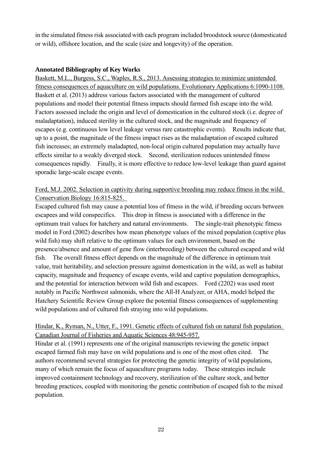in the simulated fitness risk associated with each program included broodstock source (domesticated or wild), offshore location, and the scale (size and longevity) of the operation.

## **Annotated Bibliography of Key Works**

Baskett, M.L., Burgess, S.C., Waples, R.S., 2013. Assessing strategies to minimize unintended fitness consequences of aquaculture on wild populations. Evolutionary Applications 6:1090-1108. Baskett et al. (2013) address various factors associated with the management of cultured populations and model their potential fitness impacts should farmed fish escape into the wild. Factors assessed include the origin and level of domestication in the cultured stock (i.e. degree of maladaptation), induced sterility in the cultured stock, and the magnitude and frequency of escapes (e.g. continuous low level leakage versus rare catastrophic events). Results indicate that, up to a point, the magnitude of the fitness impact rises as the maladaptation of escaped cultured fish increases; an extremely maladapted, non-local origin cultured population may actually have effects similar to a weakly diverged stock. Second, sterilization reduces unintended fitness consequences rapidly. Finally, it is more effective to reduce low-level leakage than guard against sporadic large-scale escape events.

## Ford, M.J. 2002. Selection in captivity during supportive breeding may reduce fitness in the wild. Conservation Biology 16:815-825.

Escaped cultured fish may cause a potential loss of fitness in the wild, if breeding occurs between escapees and wild conspecifics. This drop in fitness is associated with a difference in the optimum trait values for hatchery and natural environments. The single-trait phenotypic fitness model in Ford (2002) describes how mean phenotype values of the mixed population (captive plus wild fish) may shift relative to the optimum values for each environment, based on the presence/absence and amount of gene flow (interbreeding) between the cultured escaped and wild fish. The overall fitness effect depends on the magnitude of the difference in optimum trait value, trait heritability, and selection pressure against domestication in the wild, as well as habitat capacity, magnitude and frequency of escape events, wild and captive population demographics, and the potential for interaction between wild fish and escapees. Ford (2202) was used most notably in Pacific Northwest salmonids, where the All-H Analyzer, or AHA, model helped the Hatchery Scientific Review Group explore the potential fitness consequences of supplementing wild populations and of cultured fish straying into wild populations.

# Hindar, K., Ryman, N., Utter, F., 1991. Genetic effects of cultured fish on natural fish population. Canadian Journal of Fisheries and Aquatic Sciences 48:945-957.

Hindar et al. (1991) represents one of the original manuscripts reviewing the genetic impact escaped farmed fish may have on wild populations and is one of the most often cited. The authors recommend several strategies for protecting the genetic integrity of wild populations, many of which remain the focus of aquaculture programs today. These strategies include improved containment technology and recovery, sterilization of the culture stock, and better breeding practices, coupled with monitoring the genetic contribution of escaped fish to the mixed population.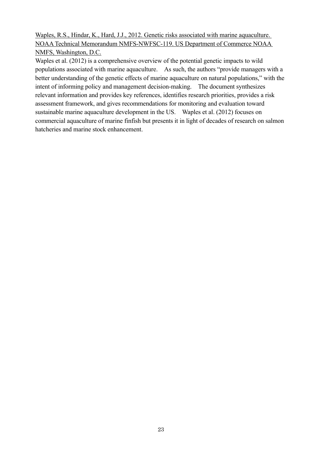Waples, R.S., Hindar, K., Hard, J.J., 2012. Genetic risks associated with marine aquaculture. NOAA Technical Memorandum NMFS-NWFSC-119. US Department of Commerce NOAA NMFS, Washington, D.C.

Waples et al. (2012) is a comprehensive overview of the potential genetic impacts to wild populations associated with marine aquaculture. As such, the authors "provide managers with a better understanding of the genetic effects of marine aquaculture on natural populations," with the intent of informing policy and management decision-making. The document synthesizes relevant information and provides key references, identifies research priorities, provides a risk assessment framework, and gives recommendations for monitoring and evaluation toward sustainable marine aquaculture development in the US. Waples et al. (2012) focuses on commercial aquaculture of marine finfish but presents it in light of decades of research on salmon hatcheries and marine stock enhancement.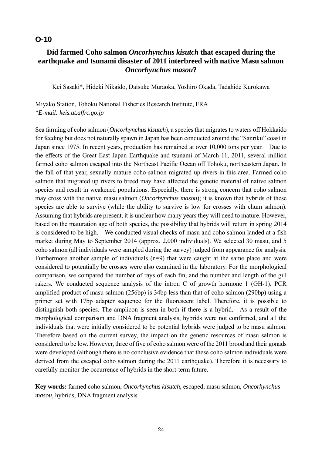# **Did farmed Coho salmon** *Oncorhynchus kisutch* **that escaped during the earthquake and tsunami disaster of 2011 interbreed with native Masu salmon**  *Oncorhynchus masou***?**

Kei Sasaki\*, Hideki Nikaido, Daisuke Muraoka, Yoshiro Okada, Tadahide Kurokawa

Miyako Station, Tohoku National Fisheries Research Institute, FRA *\*E-mail: keis.at.affrc.go.jp* 

Sea farming of coho salmon (*Oncorhynchus kisutch*), a species that migrates to waters off Hokkaido for feeding but does not naturally spawn in Japan has been conducted around the "Sanriku" coast in Japan since 1975. In recent years, production has remained at over 10,000 tons per year. Due to the effects of the Great East Japan Earthquake and tsunami of March 11, 2011, several million farmed coho salmon escaped into the Northeast Pacific Ocean off Tohoku, northeastern Japan. In the fall of that year, sexually mature coho salmon migrated up rivers in this area. Farmed coho salmon that migrated up rivers to breed may have affected the genetic material of native salmon species and result in weakened populations. Especially, there is strong concern that coho salmon may cross with the native masu salmon (*Oncorhynchus masou*); it is known that hybrids of these species are able to survive (while the ability to survive is low for crosses with chum salmon). Assuming that hybrids are present, it is unclear how many years they will need to mature. However, based on the maturation age of both species, the possibility that hybrids will return in spring 2014 is considered to be high. We conducted visual checks of masu and coho salmon landed at a fish market during May to September 2014 (approx. 2,000 individuals). We selected 30 masu, and 5 coho salmon (all individuals were sampled during the survey) judged from appearance for analysis. Furthermore another sample of individuals (n=9) that were caught at the same place and were considered to potentially be crosses were also examined in the laboratory. For the morphological comparison, we compared the number of rays of each fin, and the number and length of the gill rakers. We conducted sequence analysis of the intron C of growth hormone 1 (GH-1). PCR amplified product of masu salmon (256bp) is 34bp less than that of coho salmon (290bp) using a primer set with 17bp adapter sequence for the fluorescent label. Therefore, it is possible to distinguish both species. The amplicon is seen in both if there is a hybrid. As a result of the morphological comparison and DNA fragment analysis, hybrids were not confirmed, and all the individuals that were initially considered to be potential hybrids were judged to be masu salmon. Therefore based on the current survey, the impact on the genetic resources of masu salmon is considered to be low. However, three of five of coho salmon were of the 2011 brood and their gonads were developed (although there is no conclusive evidence that these coho salmon individuals were derived from the escaped coho salmon during the 2011 earthquake). Therefore it is necessary to carefully monitor the occurrence of hybrids in the short-term future.

**Key words:** farmed coho salmon, *Oncorhynchus kisutch*, escaped, masu salmon, *Oncorhynchus masou*, hybrids, DNA fragment analysis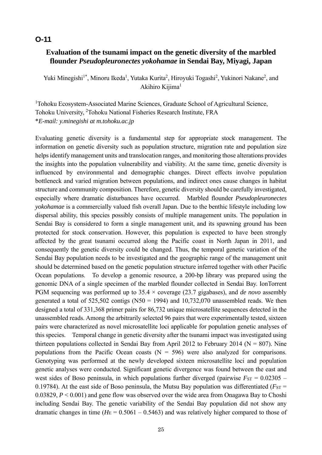# **Evaluation of the tsunami impact on the genetic diversity of the marbled flounder** *Pseudopleuronectes yokohamae* **in Sendai Bay, Miyagi, Japan**

Yuki Minegishi<sup>1\*</sup>, Minoru Ikeda<sup>1</sup>, Yutaka Kurita<sup>2</sup>, Hiroyuki Togashi<sup>2</sup>, Yukinori Nakane<sup>2</sup>, and Akihiro Kiiima<sup>1</sup>

<sup>1</sup>Tohoku Ecosystem-Associated Marine Sciences, Graduate School of Agricultural Science, Tohoku University, <sup>2</sup>Tohoku National Fisheries Research Institute, FRA \**E-mail: y.minegishi at m.tohoku.ac.jp*

Evaluating genetic diversity is a fundamental step for appropriate stock management. The information on genetic diversity such as population structure, migration rate and population size helps identify management units and translocation ranges, and monitoring those alterations provides the insights into the population vulnerability and viability. At the same time, genetic diversity is influenced by environmental and demographic changes. Direct effects involve population bottleneck and varied migration between populations, and indirect ones cause changes in habitat structure and community composition. Therefore, genetic diversity should be carefully investigated, especially where dramatic disturbances have occurred. Marbled flounder *Pseudopleuronectes yokohamae* is a commercially valued fish overall Japan. Due to the benthic lifestyle including low dispersal ability, this species possibly consists of multiple management units. The population in Sendai Bay is considered to form a single management unit, and its spawning ground has been protected for stock conservation. However, this population is expected to have been strongly affected by the great tsunami occurred along the Pacific coast in North Japan in 2011, and consequently the genetic diversity could be changed. Thus, the temporal genetic variation of the Sendai Bay population needs to be investigated and the geographic range of the management unit should be determined based on the genetic population structure inferred together with other Pacific Ocean populations. To develop a genomic resource, a 200-bp library was prepared using the genomic DNA of a single specimen of the marbled flounder collected in Sendai Bay. IonTorrent PGM sequencing was performed up to 35.4 × coverage (23.7 gigabases), and *de novo* assembly generated a total of  $525,502$  contigs (N50 = 1994) and 10,732,070 unassembled reads. We then designed a total of 331,368 primer pairs for 86,732 unique microsatellite sequences detected in the unassembled reads. Among the arbitrarily selected 96 pairs that were experimentally tested, sixteen pairs were characterized as novel microsatellite loci applicable for population genetic analyses of this species. Temporal change in genetic diversity after the tsunami impact was investigated using thirteen populations collected in Sendai Bay from April 2012 to February 2014 ( $N = 807$ ). Nine populations from the Pacific Ocean coasts  $(N = 596)$  were also analyzed for comparisons. Genotyping was performed at the newly developed sixteen microsatellite loci and population genetic analyses were conducted. Significant genetic divergence was found between the east and west sides of Boso peninsula, in which populations further diverged (pairwise  $F_{ST} = 0.02305$  – 0.19784). At the east side of Boso peninsula, the Mutsu Bay population was differentiated ( $F_{ST}$  = 0.03829, *P* < 0.001) and gene flow was observed over the wide area from Onagawa Bay to Choshi including Sendai Bay. The genetic variability of the Sendai Bay population did not show any dramatic changes in time  $(H_E = 0.5061 - 0.5463)$  and was relatively higher compared to those of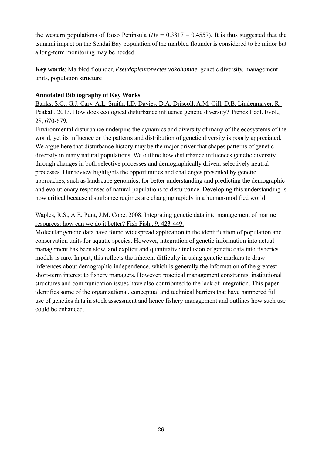the western populations of Boso Peninsula ( $H<sub>E</sub> = 0.3817 - 0.4557$ ). It is thus suggested that the tsunami impact on the Sendai Bay population of the marbled flounder is considered to be minor but a long-term monitoring may be needed.

**Key words**: Marbled flounder, *Pseudopleuronectes yokohamae*, genetic diversity, management units, population structure

#### **Annotated Bibliography of Key Works**

Banks, S.C., G.J. Cary, A.L. Smith, I.D. Davies, D.A. Driscoll, A.M. Gill, D.B. Lindenmayer, R. Peakall. 2013. How does ecological disturbance influence genetic diversity? Trends Ecol. Evol., 28, 670-679.

Environmental disturbance underpins the dynamics and diversity of many of the ecosystems of the world, yet its influence on the patterns and distribution of genetic diversity is poorly appreciated. We argue here that disturbance history may be the major driver that shapes patterns of genetic diversity in many natural populations. We outline how disturbance influences genetic diversity through changes in both selective processes and demographically driven, selectively neutral processes. Our review highlights the opportunities and challenges presented by genetic approaches, such as landscape genomics, for better understanding and predicting the demographic and evolutionary responses of natural populations to disturbance. Developing this understanding is now critical because disturbance regimes are changing rapidly in a human-modified world.

## Waples, R.S., A.E. Punt, J.M. Cope. 2008. Integrating genetic data into management of marine resources: how can we do it better? Fish Fish., 9, 423-449.

Molecular genetic data have found widespread application in the identification of population and conservation units for aquatic species. However, integration of genetic information into actual management has been slow, and explicit and quantitative inclusion of genetic data into fisheries models is rare. In part, this reflects the inherent difficulty in using genetic markers to draw inferences about demographic independence, which is generally the information of the greatest short-term interest to fishery managers. However, practical management constraints, institutional structures and communication issues have also contributed to the lack of integration. This paper identifies some of the organizational, conceptual and technical barriers that have hampered full use of genetics data in stock assessment and hence fishery management and outlines how such use could be enhanced.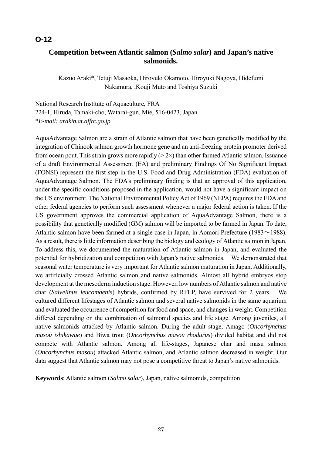# **Competition between Atlantic salmon (***Salmo salar***) and Japan's native salmonids.**

Kazuo Araki\*, Tetuji Masaoka, Hiroyuki Okamoto, Hiroyuki Nagoya, Hidefumi Nakamura, ,Kouji Muto and Toshiya Suzuki

National Research Institute of Aquaculture, FRA 224-1, Hiruda, Tamaki-cho, Watarai-gun, Mie, 516-0423, Japan \**E-mail: arakin.at.affrc.go.jp*

AquaAdvantage Salmon are a strain of Atlantic salmon that have been genetically modified by the integration of Chinook salmon growth hormone gene and an anti-freezing protein promoter derived from ocean pout. This strain grows more rapidly  $(2 \times)$  than other farmed Atlantic salmon. Issuance of a draft Environmental Assessment (EA) and preliminary Findings Of No Significant Impact (FONSI) represent the first step in the U.S. Food and Drug Administration (FDA) evaluation of AquaAdvantage Salmon. The FDA's preliminary finding is that an approval of this application, under the specific conditions proposed in the application, would not have a significant impact on the US environment. The National Environmental Policy Act of 1969 (NEPA) requires the FDA and other federal agencies to perform such assessment whenever a major federal action is taken. If the US government approves the commercial application of AquaAdvantage Salmon, there is a possibility that genetically modified (GM) salmon will be imported to be farmed in Japan. To date, Atlantic salmon have been farmed at a single case in Japan, in Aomori Prefecture (1983 $\sim$ 1988). As a result, there is little information describing the biology and ecology of Atlantic salmon in Japan. To address this, we documented the maturation of Atlantic salmon in Japan, and evaluated the potential for hybridization and competition with Japan's native salmonids. We demonstrated that seasonal water temperature is very important for Atlantic salmon maturation in Japan. Additionally, we artificially crossed Atlantic salmon and native salmonids. Almost all hybrid embryos stop development at the mesoderm induction stage. However, low numbers of Atlantic salmon and native char (*Salvelinus leucomaenis*) hybrids, confirmed by RFLP, have survived for 2 years. We cultured different lifestages of Atlantic salmon and several native salmonids in the same aquarium and evaluated the occurrence of competition for food and space, and changes in weight. Competition differed depending on the combination of salmonid species and life stage. Among juveniles, all native salmonids attacked by Atlantic salmon. During the adult stage, Amago (*Oncorhynchus masou ishikawae*) and Biwa trout (*Oncorhynchus masou rhodurus*) divided habitat and did not compete with Atlantic salmon. Among all life-stages, Japanese char and masu salmon (*Oncorhynchus masou*) attacked Atlantic salmon, and Atlantic salmon decreased in weight. Our data suggest that Atlantic salmon may not pose a competitive threat to Japan's native salmonids.

**Keywords**: Atlantic salmon (*Salmo salar*), Japan, native salmonids, competition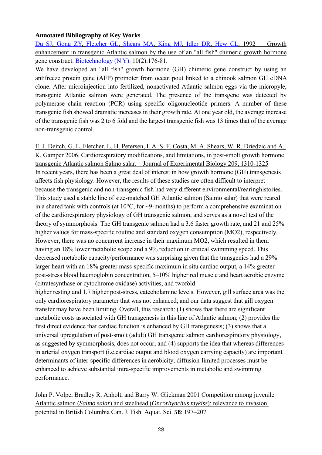#### **Annotated Bibliography of Key Works**

Du SJ, Gong ZY, Fletcher GL, Shears MA, King MJ, Idler DR, Hew CL, 1992 Growth enhancement in transgenic Atlantic salmon by the use of an "all fish" chimeric growth hormone gene construct. Biotechnology (N Y). 10(2):176-81.

We have developed an "all fish" growth hormone (GH) chimeric gene construct by using an antifreeze protein gene (AFP) promoter from ocean pout linked to a chinook salmon GH cDNA clone. After microinjection into fertilized, nonactivated Atlantic salmon eggs via the micropyle, transgenic Atlantic salmon were generated. The presence of the transgene was detected by polymerase chain reaction (PCR) using specific oligonucleotide primers. A number of these transgenic fish showed dramatic increases in their growth rate. At one year old, the average increase of the transgenic fish was 2 to 6 fold and the largest transgenic fish was 13 times that of the average non-transgenic control.

E. J. Deitch, G. L. Fletcher, L. H. Petersen, I. A. S. F. Costa, M. A. Shears, W. R. Driedzic and A. K. Gamper 2006. Cardiorespiratory modifications, and limitations, in post-smolt growth hormone transgenic Atlantic salmon Salmo salar. Journal of Experimental Biology 209, 1310-1325 In recent years, there has been a great deal of interest in how growth hormone (GH) transgenesis affects fish physiology. However, the results of these studies are often difficult to interpret because the transgenic and non-transgenic fish had very different environmental/rearinghistories. This study used a stable line of size-matched GH Atlantic salmon (Salmo salar) that were reared in a shared tank with controls (at  $10^{\circ}$ C, for  $\sim$ 9·months) to perform a comprehensive examination of the cardiorespiratory physiology of GH transgenic salmon, and serves as a novel test of the theory of symmorphosis. The GH transgenic salmon had a 3.6 faster growth rate, and 21 and 25% higher values for mass-specific routine and standard oxygen consumption (MO2), respectively. However, there was no concurrent increase in their maximum MO2, which resulted in them having an 18% lower metabolic scope and a 9% reduction in critical swimming speed. This decreased metabolic capacity/performance was surprising given that the transgenics had a 29% larger heart with an 18% greater mass-specific maximum in situ cardiac output, a 14% greater post-stress blood haemoglobin concentration, 5–10% higher red muscle and heart aerobic enzyme (citratesynthase or cytochrome oxidase) activities, and twofold

higher resting and 1.7 higher post-stress, catecholamine levels. However, gill surface area was the only cardiorespiratory parameter that was not enhanced, and our data suggest that gill oxygen transfer may have been limiting. Overall, this research: (1) shows that there are significant metabolic costs associated with GH transgenesis in this line of Atlantic salmon; (2) provides the first direct evidence that cardiac function is enhanced by GH transgenesis; (3) shows that a universal upregulation of post-smolt (adult) GH transgenic salmon cardiorespiratory physiology, as suggested by symmorphosis, does not occur; and (4) supports the idea that whereas differences in arterial oxygen transport (i.e.cardiac output and blood oxygen carrying capacity) are important determinants of inter-specific differences in aerobicity, diffusion-limited processes must be enhanced to achieve substantial intra-specific improvements in metabolic and swimming performance.

John P. Volpe, Bradley R. Anholt, and Barry W. Glickman 2001 Competition among juvenile Atlantic salmon (*Salmo salar*) and steelhead (*Oncorhynchus mykiss*): relevance to invasion potential in British Columbia Can. J. Fish. Aquat. Sci. **58**: 197–207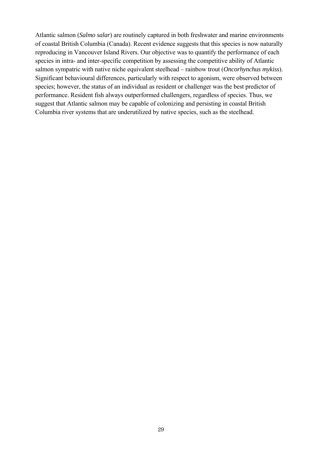Atlantic salmon (*Salmo salar*) are routinely captured in both freshwater and marine environments of coastal British Columbia (Canada). Recent evidence suggests that this species is now naturally reproducing in Vancouver Island Rivers. Our objective was to quantify the performance of each species in intra- and inter-specific competition by assessing the competitive ability of Atlantic salmon sympatric with native niche equivalent steelhead – rainbow trout (*Oncorhynchus mykiss*). Significant behavioural differences, particularly with respect to agonism, were observed between species; however, the status of an individual as resident or challenger was the best predictor of performance. Resident fish always outperformed challengers, regardless of species. Thus, we suggest that Atlantic salmon may be capable of colonizing and persisting in coastal British Columbia river systems that are underutilized by native species, such as the steelhead.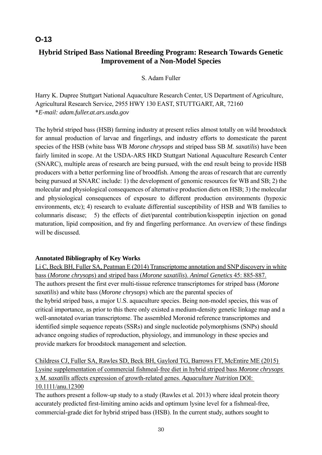# **O-13**

# **Hybrid Striped Bass National Breeding Program: Research Towards Genetic Improvement of a Non-Model Species**

#### S. Adam Fuller

Harry K. Dupree Stuttgart National Aquaculture Research Center, US Department of Agriculture, Agricultural Research Service, 2955 HWY 130 EAST, STUTTGART, AR, 72160 \**E-mail: adam.fuller.at.ars.usda.gov*

The hybrid striped bass (HSB) farming industry at present relies almost totally on wild broodstock for annual production of larvae and fingerlings, and industry efforts to domesticate the parent species of the HSB (white bass WB *Morone chrysops* and striped bass SB *M. saxatilis*) have been fairly limited in scope. At the USDA-ARS HKD Stuttgart National Aquaculture Research Center (SNARC), multiple areas of research are being pursued, with the end result being to provide HSB producers with a better performing line of broodfish. Among the areas of research that are currently being pursued at SNARC include: 1) the development of genomic resources for WB and SB; 2) the molecular and physiological consequences of alternative production diets on HSB; 3) the molecular and physiological consequences of exposure to different production environments (hypoxic environments, etc); 4) research to evaluate differential susceptibility of HSB and WB families to columnaris disease; 5) the effects of diet/parental contribution/kisspeptin injection on gonad maturation, lipid composition, and fry and fingerling performance. An overview of these findings will be discussed.

### **Annotated Bibliography of Key Works**

Li C, Beck BH, Fuller SA, Peatman E (2014) Transcriptome annotation and SNP discovery in white bass (*Morone chrysops*) and striped bass (*Morone saxatilis*). *Animal Genetics* 45: 885-887. The authors present the first ever multi-tissue reference transcriptomes for striped bass (*Morone saxatilis*) and white bass (*Morone chrysops*) which are the parental species of the hybrid striped bass, a major U.S. aquaculture species. Being non-model species, this was of critical importance, as prior to this there only existed a medium-density genetic linkage map and a well-annotated ovarian transcriptome. The assembled Moronid reference transcriptomes and identified simple sequence repeats (SSRs) and single nucleotide polymorphisms (SNPs) should advance ongoing studies of reproduction, physiology, and immunology in these species and provide markers for broodstock management and selection.

Childress CJ, Fuller SA, Rawles SD, Beck BH, Gaylord TG, Barrows FT, McEntire ME (2015) Lysine supplementation of commercial fishmeal-free diet in hybrid striped bass *Morone chrysops* x *M. saxatilis* affects expression of growth-related genes. *Aquaculture Nutrition* DOI: 10.1111/anu.12300

The authors present a follow-up study to a study (Rawles et al. 2013) where ideal protein theory accurately predicted first-limiting amino acids and optimum lysine level for a fishmeal-free, commercial-grade diet for hybrid striped bass (HSB). In the current study, authors sought to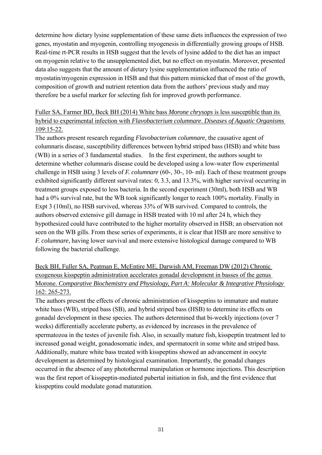determine how dietary lysine supplementation of these same diets influences the expression of two genes, myostatin and myogenin, controlling myogenesis in differentially growing groups of HSB. Real-time rt-PCR results in HSB suggest that the levels of lysine added to the diet has an impact on myogenin relative to the unsupplemented diet, but no effect on myostatin. Moreover, presented data also suggests that the amount of dietary lysine supplementation influenced the ratio of myostatin/myogenin expression in HSB and that this pattern mimicked that of most of the growth, composition of growth and nutrient retention data from the authors' previous study and may therefore be a useful marker for selecting fish for improved growth performance.

### Fuller SA, Farmer BD, Beck BH (2014) White bass *Morone chrysops* is less susceptible than its hybrid to experimental infection with *Flavobacterium columnare*. *Diseases of Aquatic Organisms* 109:15-22.

The authors present research regarding *Flavobacterium columnare,* the causative agent of columnaris disease, susceptibility differences between hybrid striped bass (HSB) and white bass (WB) in a series of 3 fundamental studies. In the first experiment, the authors sought to determine whether columnaris disease could be developed using a low-water flow experimental challenge in HSB using 3 levels of *F. columnare* (60-, 30-, 10- ml). Each of these treatment groups exhibited significantly different survival rates: 0, 3.3, and 13.3%, with higher survival occurring in treatment groups exposed to less bacteria. In the second experiment (30ml), both HSB and WB had a 0% survival rate, but the WB took significantly longer to reach 100% mortality. Finally in Expt 3 (10ml), no HSB survived, whereas 33% of WB survived. Compared to controls, the authors observed extensive gill damage in HSB treated with 10 ml after 24 h, which they hypothesized could have contributed to the higher mortality observed in HSB; an observation not seen on the WB gills. From these series of experiments, it is clear that HSB are more sensitive to *F. columnare*, having lower survival and more extensive histological damage compared to WB following the bacterial challenge.

Beck BH, Fuller SA, Peatman E, McEntire ME, Darwish AM, Freeman DW (2012) Chronic exogenous kisspeptin administration accelerates gonadal development in basses of the genus Morone. *Comparative Biochemistry and Physiology, Part A: Molecular & Integrative Physiology* 162: 265-273.

The authors present the effects of chronic administration of kisspeptins to immature and mature white bass (WB), striped bass (SB), and hybrid striped bass (HSB) to determine its effects on gonadal development in these species. The authors determined that bi-weekly injections (over 7 weeks) differentially accelerate puberty, as evidenced by increases in the prevalence of spermatozoa in the testes of juvenile fish. Also, in sexually mature fish, kisspeptin treatment led to increased gonad weight, gonadosomatic index, and spermatocrit in some white and striped bass. Additionally, mature white bass treated with kisspeptins showed an advancement in oocyte development as determined by histological examination. Importantly, the gonadal changes occurred in the absence of any photothermal manipulation or hormone injections. This description was the first report of kisspeptin-mediated pubertal initiation in fish, and the first evidence that kisspeptins could modulate gonad maturation.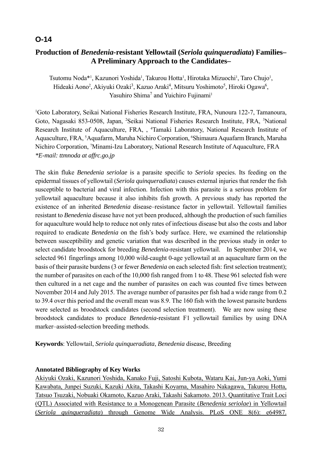# **O-14**

# **Production of** *Benedenia-***resistant Yellowtail (***Seriola quinqueradiata***) Families– A Preliminary Approach to the Candidates–**

Tsutomu Noda<sup>\*1</sup>, Kazunori Yoshida<sup>1</sup>, Takurou Hotta<sup>1</sup>, Hirotaka Mizuochi<sup>1</sup>, Taro Chujo<sup>1</sup>, Hideaki Aono<sup>2</sup>, Akiyuki Ozaki<sup>3</sup>, Kazuo Araki<sup>4</sup>, Mitsuru Yoshimoto<sup>5</sup>, Hiroki Ogawa<sup>6</sup>, Yasuhiro Shima<sup>7</sup> and Yuichiro Fujinami<sup>1</sup>

<sup>1</sup>Goto Laboratory, Seikai National Fisheries Research Institute, FRA, Nunoura 122-7, Tamanoura, Goto, Nagasaki 853-0508, Japan, <sup>2</sup>Seikai National Fisheries Research Institute, FRA, <sup>3</sup>National Research Institute of Aquaculture, FRA, , <sup>4</sup>Tamaki Laboratory, National Research Institute of Aquaculture, FRA, <sup>5</sup>Aquafarm, Maruha Nichiro Corporation, <sup>6</sup>Shimaura Aquafarm Branch, Maruha Nichiro Corporation, 7 Minami-Izu Laboratory, National Research Institute of Aquaculture, FRA *\*E-mail: ttmnoda at affrc.go.jp* 

The skin fluke *Benedenia seriolae* is a parasite specific to *Seriola* species. Its feeding on the epidermal tissues of yellowtail (*Seriola quinqueradiata*) causes external injuries that render the fish susceptible to bacterial and viral infection. Infection with this parasite is a serious problem for yellowtail aquaculture because it also inhibits fish growth. A previous study has reported the existence of an inherited *Benedenia* disease–resistance factor in yellowtail. Yellowtail families resistant to *Benedenia* disease have not yet been produced, although the production of such families for aquaculture would help to reduce not only rates of infectious disease but also the costs and labor required to eradicate *Benedenia* on the fish's body surface. Here, we examined the relationship between susceptibility and genetic variation that was described in the previous study in order to select candidate broodstock for breeding *Benedenia-*resistant yellowtail. In September 2014, we selected 961 fingerlings among 10,000 wild-caught 0-age yellowtail at an aquaculture farm on the basis of their parasite burdens (3 or fewer *Benedenia* on each selected fish: first selection treatment); the number of parasites on each of the 10,000 fish ranged from 1 to 48. These 961 selected fish were then cultured in a net cage and the number of parasites on each was counted five times between November 2014 and July 2015. The average number of parasites per fish had a wide range from 0.2 to 39.4 over this period and the overall mean was 8.9. The 160 fish with the lowest parasite burdens were selected as broodstock candidates (second selection treatment). We are now using these broodstock candidates to produce *Benedenia-*resistant F1 yellowtail families by using DNA marker–assisted-selection breeding methods.

**Keywords**: Yellowtail, *Seriola quinqueradiata*, *Benedenia* disease, Breeding

### **Annotated Bibliography of Key Works**

Akiyuki Ozaki, Kazunori Yoshida, Kanako Fuji, Satoshi Kubota, Wataru Kai, Jun-ya Aoki, Yumi Kawabata, Junpei Suzuki, Kazuki Akita, Takashi Koyama, Masahiro Nakagawa, Takurou Hotta, Tatsuo Tsuzaki, Nobuaki Okamoto, Kazuo Araki, Takashi Sakamoto. 2013. Quantitative Trait Loci (QTL) Associated with Resistance to a Monogenean Parasite (*Benedenia seriolae*) in Yellowtail (*Seriola quinqueradiata*) through Genome Wide Analysis. PLoS ONE 8(6): e64987.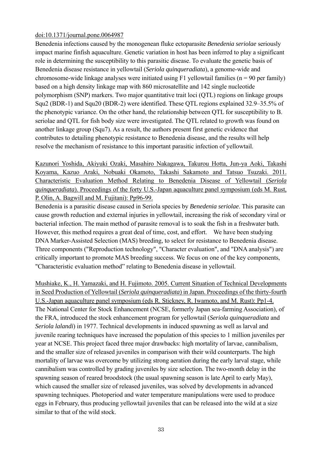#### doi:10.1371/journal.pone.0064987

Benedenia infections caused by the monogenean fluke ectoparasite *Benedenia seriolae* seriously impact marine finfish aquaculture. Genetic variation in host has been inferred to play a significant role in determining the susceptibility to this parasitic disease. To evaluate the genetic basis of Benedenia disease resistance in yellowtail (*Seriola quinqueradiata*), a genome-wide and chromosome-wide linkage analyses were initiated using F1 yellowtail families ( $n = 90$  per family) based on a high density linkage map with 860 microsatellite and 142 single nucleotide polymorphism (SNP) markers. Two major quantitative trait loci (QTL) regions on linkage groups Squ2 (BDR-1) and Squ20 (BDR-2) were identified. These QTL regions explained 32.9–35.5% of the phenotypic variance. On the other hand, the relationship between QTL for susceptibility to B. seriolae and QTL for fish body size were investigated. The QTL related to growth was found on another linkage group (Squ7). As a result, the authors present first genetic evidence that contributes to detailing phenotypic resistance to Benedenia disease, and the results will help resolve the mechanism of resistance to this important parasitic infection of yellowtail.

Kazunori Yoshida, Akiyuki Ozaki, Masahiro Nakagawa, Takurou Hotta, Jun-ya Aoki, Takashi Koyama, Kazuo Araki, Nobuaki Okamoto, Takashi Sakamoto and Tatsuo Tsuzaki. 2011. Characteristic Evaluation Method Relating to Benedenia Disease of Yellowtail (*Seriola quinqueradiata*). Proceedings of the forty U.S.-Japan aquaculture panel symposium (eds M. Rust, P. Olin, A. Bagwill and M. Fujitani): Pp96-99.

Benedenia is a parasitic disease caused in Seriola species by *Benedenia seriolae*. This parasite can cause growth reduction and external injuries in yellowtail, increasing the risk of secondary viral or bacterial infection. The main method of parasite removal is to soak the fish in a freshwater bath. However, this method requires a great deal of time, cost, and effort. We have been studying DNA Marker-Assisted Selection (MAS) breeding, to select for resistance to Benedenia disease. Three components ("Reproduction technology", "Character evaluation", and "DNA analysis") are critically important to promote MAS breeding success. We focus on one of the key components, "Characteristic evaluation method" relating to Benedenia disease in yellowtail.

Mushiake, K., H. Yamazaki, and H. Fujimoto. 2005. Current Situation of Technical Developments in Seed Production of Yellowtail (*Seriola quinqueradiata*) in Japan. Proceedings of the thirty-fourth U.S.-Japan aquaculture panel symposium (eds R. Stickney, R. Iwamoto, and M. Rust): Pp1-4. The National Center for Stock Enhancement (NCSE, formerly Japan sea-farming Association), of the FRA, introduced the stock enhancement program for yellowtail (*Seriola quinqueradiata* and *Seriola lalandi*) in 1977. Technical developments in induced spawning as well as larval and juvenile rearing techniques have increased the population of this species to 1 million juveniles per year at NCSE. This project faced three major drawbacks: high mortality of larvae, cannibalism, and the smaller size of released juveniles in comparison with their wild counterparts. The high mortality of larvae was overcome by utilizing strong aeration during the early larval stage, while cannibalism was controlled by grading juveniles by size selection. The two-month delay in the spawning season of reared broodstock (the usual spawning season is late April to early May), which caused the smaller size of released juveniles, was solved by developments in advanced spawning techniques. Photoperiod and water temperature manipulations were used to produce eggs in February, thus producing yellowtail juveniles that can be released into the wild at a size similar to that of the wild stock.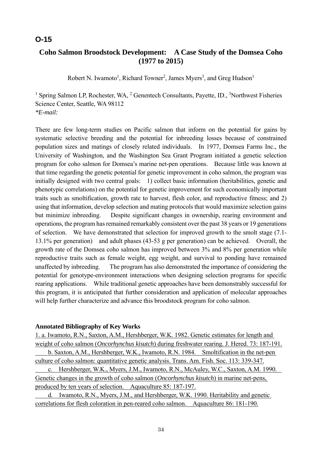# **O-15**

# **Coho Salmon Broodstock Development: A Case Study of the Domsea Coho (1977 to 2015)**

Robert N. Iwamoto<sup>1</sup>, Richard Towner<sup>2</sup>, James Myers<sup>3</sup>, and Greg Hudson<sup>1</sup>

<sup>1</sup> Spring Salmon LP, Rochester, WA, <sup>2</sup> Genentech Consultants, Payette, ID., <sup>3</sup>Northwest Fisheries Science Center, Seattle, WA 98112 *\*E-mail:* 

There are few long-term studies on Pacific salmon that inform on the potential for gains by systematic selective breeding and the potential for inbreeding losses because of constrained population sizes and matings of closely related individuals. In 1977, Domsea Farms Inc., the University of Washington, and the Washington Sea Grant Program initiated a genetic selection program for coho salmon for Domsea's marine net-pen operations. Because little was known at that time regarding the genetic potential for genetic improvement in coho salmon, the program was initially designed with two central goals: 1) collect basic information (heritabilities, genetic and phenotypic correlations) on the potential for genetic improvement for such economically important traits such as smoltification, growth rate to harvest, flesh color, and reproductive fitness; and 2) using that information, develop selection and mating protocols that would maximize selection gains but minimize inbreeding. Despite significant changes in ownership, rearing environment and operations, the program has remained remarkably consistent over the past 38 years or 19 generations of selection. We have demonstrated that selection for improved growth to the smolt stage (7.1- 13.1% per generation) and adult phases (43-53 g per generation) can be achieved. Overall, the growth rate of the Domsea coho salmon has improved between 3% and 8% per generation while reproductive traits such as female weight, egg weight, and survival to ponding have remained unaffected by inbreeding. The program has also demonstrated the importance of considering the potential for genotype-environment interactions when designing selection programs for specific rearing applications. While traditional genetic approaches have been demonstrably successful for this program, it is anticipated that further consideration and application of molecular approaches will help further characterize and advance this broodstock program for coho salmon.

#### **Annotated Bibliography of Key Works**

1. a. Iwamoto, R.N., Saxton, A.M., Hershberger, W.K. 1982. Genetic estimates for length and weight of coho salmon (*Oncorhynchus kisutch*) during freshwater rearing. J. Hered. 73: 187-191. b. Saxton, A.M., Hershberger, W.K., Iwamoto, R.N. 1984. Smoltification in the net-pen culture of coho salmon: quantitative genetic analysis. Trans. Am. Fish. Soc. 113: 339-347. c. Hershberger, W.K., Myers, J.M., Iwamoto, R.N., McAuley, W.C., Saxton, A.M. 1990.

Genetic changes in the growth of coho salmon (*Oncorhynchus kisutch*) in marine net-pens, produced by ten years of selection. Aquaculture 85: 187-197.

 d. Iwamoto, R.N., Myers, J.M., and Hershberger, W.K. 1990. Heritability and genetic correlations for flesh coloration in pen-reared coho salmon. Aquaculture 86: 181-190.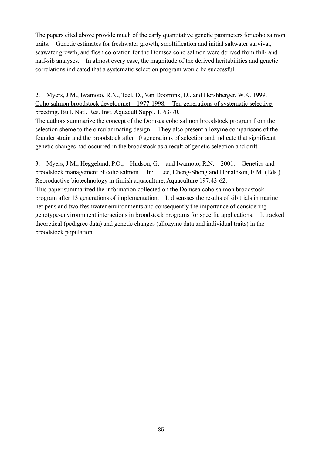The papers cited above provide much of the early quantitative genetic parameters for coho salmon traits. Genetic estimates for freshwater growth, smoltification and initial saltwater survival, seawater growth, and flesh coloration for the Domsea coho salmon were derived from full- and half-sib analyses. In almost every case, the magnitude of the derived heritabilities and genetic correlations indicated that a systematic selection program would be successful.

2. Myers, J.M., Iwamoto, R.N., Teel, D., Van Doornink, D., and Hershberger, W.K. 1999. Coho salmon broodstock developmet---1977-1998. Ten generations of systematic selective breeding. Bull. Natl. Res. Inst. Aquacult Suppl. 1, 63-70.

The authors summarize the concept of the Domsea coho salmon broodstock program from the selection sheme to the circular mating design. They also present allozyme comparisons of the founder strain and the broodstock after 10 generations of selection and indicate that significant genetic changes had occurred in the broodstock as a result of genetic selection and drift.

3. Myers, J.M., Heggelund, P.O., Hudson, G. and Iwamoto, R.N. 2001. Genetics and broodstock management of coho salmon. In: Lee, Cheng-Sheng and Donaldson, E.M. (Eds.) Reproductive biotechnology in finfish aquaculture, Aquaculture 197:43-62.

This paper summarized the information collected on the Domsea coho salmon broodstock program after 13 generations of implementation. It discusses the results of sib trials in marine net pens and two freshwater environments and consequently the importance of considering genotype-environmnent interactions in broodstock programs for specific applications. It tracked theoretical (pedigree data) and genetic changes (allozyme data and individual traits) in the broodstock population.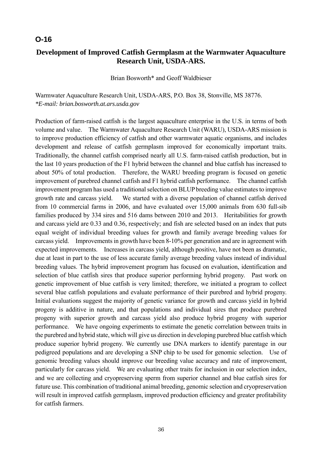### **O-16**

# **Development of Improved Catfish Germplasm at the Warmwater Aquaculture Research Unit, USDA-ARS.**

Brian Bosworth\* and Geoff Waldbieser

Warmwater Aquaculture Research Unit, USDA-ARS, P.O. Box 38, Stonville, MS 38776. *\*E-mail: brian.bosworth.at.ars.usda.gov* 

Production of farm-raised catfish is the largest aquaculture enterprise in the U.S. in terms of both volume and value. The Warmwater Aquaculture Research Unit (WARU), USDA-ARS mission is to improve production efficiency of catfish and other warmwater aquatic organisms, and includes development and release of catfish germplasm improved for economically important traits. Traditionally, the channel catfish comprised nearly all U.S. farm-raised catfish production, but in the last 10 years production of the F1 hybrid between the channel and blue catfish has increased to about 50% of total production. Therefore, the WARU breeding program is focused on genetic improvement of purebred channel catfish and F1 hybrid catfish performance. The channel catfish improvement program has used a traditional selection on BLUP breeding value estimates to improve growth rate and carcass yield. We started with a diverse population of channel catfish derived from 10 commercial farms in 2006, and have evaluated over 15,000 animals from 630 full-sib families produced by 334 sires and 516 dams between 2010 and 2013. Heritabilities for growth and carcass yield are 0.33 and 0.36, respectively; and fish are selected based on an index that puts equal weight of individual breeding values for growth and family average breeding values for carcass yield. Improvements in growth have been 8-10% per generation and are in agreement with expected improvements. Increases in carcass yield, although positive, have not been as dramatic, due at least in part to the use of less accurate family average breeding values instead of individual breeding values. The hybrid improvement program has focused on evaluation, identification and selection of blue catfish sires that produce superior performing hybrid progeny. Past work on genetic improvement of blue catfish is very limited; therefore, we initiated a program to collect several blue catfish populations and evaluate performance of their purebred and hybrid progeny. Initial evaluations suggest the majority of genetic variance for growth and carcass yield in hybrid progeny is additive in nature, and that populations and individual sires that produce purebred progeny with superior growth and carcass yield also produce hybrid progeny with superior performance. We have ongoing experiments to estimate the genetic correlation between traits in the purebred and hybrid state, which will give us direction in developing purebred blue catfish which produce superior hybrid progeny. We currently use DNA markers to identify parentage in our pedigreed populations and are developing a SNP chip to be used for genomic selection. Use of genomic breeding values should improve our breeding value accuracy and rate of improvement, particularly for carcass yield. We are evaluating other traits for inclusion in our selection index, and we are collecting and cryopreserving sperm from superior channel and blue catfish sires for future use. This combination of traditional animal breeding, genomic selection and cryopreservation will result in improved catfish germplasm, improved production efficiency and greater profitability for catfish farmers.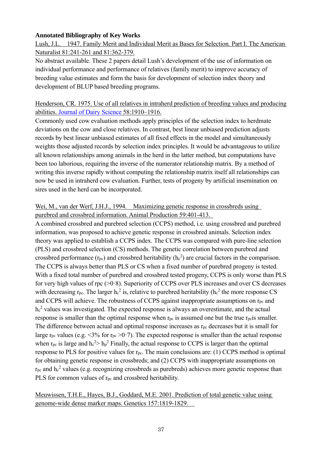#### **Annotated Bibliography of Key Works**

Lush, J.L. 1947. Family Merit and Individual Merit as Bases for Selection. Part I. The American Naturalist 81:241-261 and 81:362-379.

No abstract available. These 2 papers detail Lush's development of the use of information on individual performance and performance of relatives (family merit) to improve accuracy of breeding value estimates and form the basis for development of selection index theory and development of BLUP based breeding programs.

### Henderson, CR. 1975. Use of all relatives in intraherd prediction of breeding values and producing abilities. Journal of Dairy Science 58:1910–1916.

Commonly used cow evaluation methods apply principles of the selection index to herdmate deviations on the cow and close relatives. In contrast, best linear unbiased prediction adjusts records by best linear unbiased estimates of all fixed effects in the model and simultaneously weights those adjusted records by selection index principles. It would be advantageous to utilize all known relationships among animals in the herd in the latter method, but computations have been too laborious, requiring the inverse of the numerator relationship matrix. By a method of writing this inverse rapidly without computing the relationship matrix itself all relationships can now be used in intraherd cow evaluation. Further, tests of progeny by artificial insemination on sires used in the herd can be incorporated.

### Wei, M., van der Werf, J.H.J., 1994. Maximizing genetic response in crossbreds using purebred and crossbred information. Animal Production 59:401-413.

A combined crossbred and purebred selection (CCPS) method, i.e. using crossbred and purebred information, was proposed to achieve genetic response in crossbred animals. Selection index theory was applied to establish a CCPS index. The CCPS was compared with pure-line selection (PLS) and crossbred selection (CS) methods. The genetic correlation between purebred and crossbred performance ( $r_{\text{pc}}$ ) and crossbred heritability ( $h_c^2$ ) are crucial factors in the comparison. The CCPS is always better than PLS or CS when a fixed number of purebred progeny is tested. With a fixed total number of purebred and crossbred tested progeny, CCPS is only worse than PLS for very high values of rpc (>0·8). Superiority of CCPS over PLS increases and over CS decreases with decreasing  $r_{\rm pc}$ . The larger  $h_c^2$  is, relative to purebred heritability ( $h_c^2$  the more response CS and CCPS will achieve. The robustness of CCPS against inappropriate assumptions on rpc and h<sub>c</sub><sup>2</sup> values was investigated. The expected response is always an overestimate, and the actual response is smaller than the optimal response when  $r_{pc}$  is assumed one but the true  $r_{pc}$  is smaller. The difference between actual and optimal response increases as r<sub>pc</sub> decreases but it is small for large r<sub>pc</sub> values (e.g.  $\leq 3\%$  for r<sub>pc</sub>  $\geq 0.7$ ). The expected response is smaller than the actual response when  $r_{\text{pc}}$  is large and  $h_c^2 > h_p^2$  Finally, the actual response to CCPS is larger than the optimal response to PLS for positive values for rpc. The main conclusions are: (1) CCPS method is optimal for obtaining genetic response in crossbreds; and (2) CCPS with inappropriate assumptions on  $r_{\rm pc}$  and  $\rm{h}^{2}$  values (e.g. recognizing crossbreds as purebreds) achieves more genetic response than PLS for common values of  $r_{pc}$  and crossbred heritability.

Meuwissen, T.H.E., Hayes, B.J., Goddard, M.E. 2001. Prediction of total genetic value using genome-wide dense marker maps. Genetics 157:1819-1829.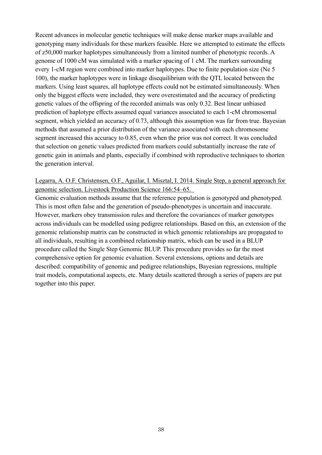Recent advances in molecular genetic techniques will make dense marker maps available and genotyping many individuals for these markers feasible. Here we attempted to estimate the effects of z50,000 marker haplotypes simultaneously from a limited number of phenotypic records. A genome of 1000 cM was simulated with a marker spacing of 1 cM. The markers surrounding every 1-cM region were combined into marker haplotypes. Due to finite population size (Ne 5 100), the marker haplotypes were in linkage disequilibrium with the QTL located between the markers. Using least squares, all haplotype effects could not be estimated simultaneously. When only the biggest effects were included, they were overestimated and the accuracy of predicting genetic values of the offspring of the recorded animals was only 0.32. Best linear unbiased prediction of haplotype effects assumed equal variances associated to each 1-cM chromosomal segment, which yielded an accuracy of 0.73, although this assumption was far from true. Bayesian methods that assumed a prior distribution of the variance associated with each chromosome segment increased this accuracy to 0.85, even when the prior was not correct. It was concluded that selection on genetic values predicted from markers could substantially increase the rate of genetic gain in animals and plants, especially if combined with reproductive techniques to shorten the generation interval.

### Legarra, A. O.F. Christensen, O.F., Aguilar, I. Misztal, I. 2014. Single Step, a general approach for genomic selection. Livestock Production Science 166:54–65.

Genomic evaluation methods assume that the reference population is genotyped and phenotyped. This is most often false and the generation of pseudo-phenotypes is uncertain and inaccurate. However, markers obey transmission rules and therefore the covariances of marker genotypes across individuals can be modelled using pedigree relationships. Based on this, an extension of the genomic relationship matrix can be constructed in which genomic relationships are propagated to all individuals, resulting in a combined relationship matrix, which can be used in a BLUP procedure called the Single Step Genomic BLUP. This procedure provides so far the most comprehensive option for genomic evaluation. Several extensions, options and details are described: compatibility of genomic and pedigree relationships, Bayesian regressions, multiple trait models, computational aspects, etc. Many details scattered through a series of papers are put together into this paper.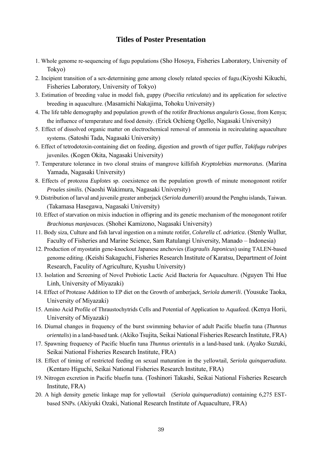### **Titles of Poster Presentation**

- 1. Whole genome re-sequencing of fugu populations (Sho Hosoya, Fisheries Laboratory, University of Tokyo)
- 2. Incipient transition of a sex-determining gene among closely related species of fugu.(Kiyoshi Kikuchi, Fisheries Laboratory, University of Tokyo)
- 3. Estimation of breeding value in model fish, guppy (*Poecilia reticulata*) and its application for selective breeding in aquaculture. (Masamichi Nakajima, Tohoku University)
- 4. The life table demography and population growth of the rotifer *Brachionus angularis* Gosse, from Kenya; the influence of temperature and food density. (Erick Ochieng Ogello, Nagasaki University)
- 5. Effect of dissolved organic matter on electrochemical removal of ammonia in recirculating aquaculture systems. (Satoshi Tada, Nagasaki University)
- 6. Effect of tetrodotoxin-containing diet on feeding, digestion and growth of tiger puffer, *Takifugu rubripes* juveniles. (Kogen Okita, Nagasaki University)
- 7. Temperature tolerance in two clonal strains of mangrove killifish *Kryptolebias marmoratus*. (Marina Yamada, Nagasaki University)
- 8. Effects of protozoa *Euplotes* sp. coexistence on the population growth of minute monogonont rotifer *Proales similis*. (Naoshi Wakimura, Nagasaki University)
- 9. Distribution of larval and juvenile greater amberjack (*Seriola dumerili*) around the Penghu islands, Taiwan. (Takamasa Hasegawa, Nagasaki University)
- 10. Effect of starvation on mixis induction in offspring and its genetic mechanism of the monogonont rotifer *Brachionus manjavacas*. (Shohei Kamizono, Nagasaki University)
- 11. Body siza, Culture and fish larval ingestion on a minute rotifer, *Colurella* cf. *adriatica*. (Stenly Wullur, Faculty of Fisheries and Marine Science, Sam Ratulangi University, Manado – Indonesia)
- 12. Production of myostatin gene-knockout Japanese anchovies (*Eugraulis Japonicus*) using TALEN-based genome editing. (Keishi Sakaguchi, Fisheries Research Institute of Karatsu, Department of Joint Research, Faculity of Agriculture, Kyushu University)
- 13. Isolation and Screening of Novel Probiotic Lactic Acid Bacteria for Aquaculture. (Nguyen Thi Hue Linh, University of Miyazaki)
- 14. Effect of Protease Addition to EP diet on the Growth of amberjack, *Seriola dumerili*. (Yousuke Taoka, University of Miyazaki)
- 15. Amino Acid Profile of Thraustochytrids Cells and Potential of Application to Aquafeed. (Kenya Horii, University of Miyazaki)
- 16. Diurnal changes in frequency of the burst swimming behavior of adult Pacific bluefin tuna (*Thunnus orientalis*) in a land-based tank. (Akiko Tsujita, Seikai National Fisheries Research Institute, FRA)
- 17. Spawning frequency of Pacific bluefin tuna *Thunnus orientalis* in a land-based tank. (Ayako Suzuki, Seikai National Fisheries Research Institute, FRA)
- 18. Effect of timing of restricted feeding on sexual maturation in the yellowtail, *Seriola quinqueradiata*. (Kentaro Higuchi, Seikai National Fisheries Research Institute, FRA)
- 19. Nitrogen excretion in Pacific bluefin tuna. (Toshinori Takashi, Seikai National Fisheries Research Institute, FRA)
- 20. A high density genetic linkage map for yellowtail (*Seriola quinqueradiata*) containing 6,275 ESTbased SNPs. (Akiyuki Ozaki, National Research Institute of Aquaculture, FRA)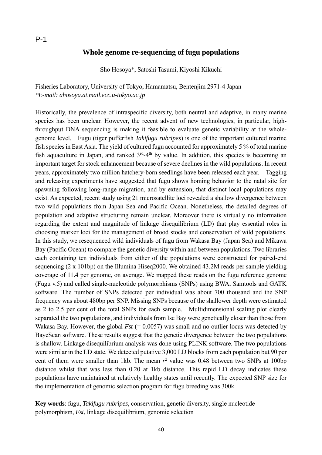#### **Whole genome re-sequencing of fugu populations**

Sho Hosoya\*, Satoshi Tasumi, Kiyoshi Kikuchi

Fisheries Laboratory, University of Tokyo, Hamamatsu, Bentenjim 2971-4 Japan *\*E-mail: ahosoya.at.mail.ecc.u-tokyo.ac.jp* 

Historically, the prevalence of intraspecific diversity, both neutral and adaptive, in many marine species has been unclear. However, the recent advent of new technologies, in particular, highthroughput DNA sequencing is making it feasible to evaluate genetic variability at the wholegenome level. Fugu (tiger pufferfish *Takifugu rubripes*) is one of the important cultured marine fish species in East Asia. The yield of cultured fugu accounted for approximately 5 % of total marine fish aquaculture in Japan, and ranked  $3<sup>rd</sup>-4<sup>th</sup>$  by value. In addition, this species is becoming an important target for stock enhancement because of severe declines in the wild populations. In recent years, approximately two million hatchery-born seedlings have been released each year. Tagging and releasing experiments have suggested that fugu shows homing behavior to the natal site for spawning following long-range migration, and by extension, that distinct local populations may exist. As expected, recent study using 21 microsatellite loci revealed a shallow divergence between two wild populations from Japan Sea and Pacific Ocean. Nonetheless, the detailed degrees of population and adaptive structuring remain unclear. Moreover there is virtually no information regarding the extent and magnitude of linkage disequilibrium (LD) that play essential roles in choosing marker loci for the management of brood stocks and conservation of wild populations. In this study, we resequenced wild individuals of fugu from Wakasa Bay (Japan Sea) and Mikawa Bay (Pacific Ocean) to compare the genetic diversity within and between populations. Two libraries each containing ten individuals from either of the populations were constructed for paired-end sequencing (2 x 101bp) on the Illumina Hiseq2000. We obtained 43.2M reads per sample yielding coverage of 11.4 per genome, on average. We mapped these reads on the fugu reference genome (Fugu v.5) and called single-nucleotide polymorphisms (SNPs) using BWA, Samtools and GATK software. The number of SNPs detected per individual was about 700 thousand and the SNP frequency was about 480bp per SNP. Missing SNPs because of the shallower depth were estimated as 2 to 2.5 per cent of the total SNPs for each sample. Multidimensional scaling plot clearly separated the two populations, and individuals from Ise Bay were genetically closer than those from Wakasa Bay. However, the global *Fst* (= 0.0057) was small and no outlier locus was detected by BayeScan software. These results suggest that the genetic divergence between the two populations is shallow. Linkage disequilibrium analysis was done using PLINK software. The two populations were similar in the LD state. We detected putative 3,000 LD blocks from each population but 90 per cent of them were smaller than 1kb. The mean  $r^2$  value was 0.48 between two SNPs at 100bp distance whilst that was less than 0.20 at 1kb distance. This rapid LD decay indicates these populations have maintained at relatively healthy states until recently. The expected SNP size for the implementation of genomic selection program for fugu breeding was 300k.

**Key words**: fugu, *Takifugu rubripes*, conservation, genetic diversity, single nucleotide polymorphism, *Fst*, linkage disequilibrium, genomic selection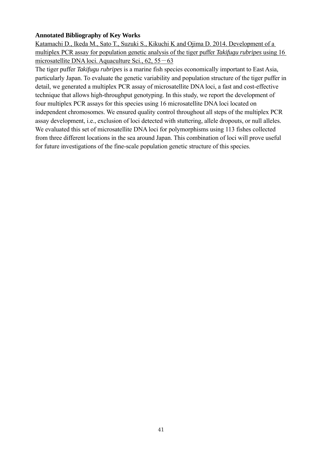#### **Annotated Bibliography of Key Works**

Katamachi D., Ikeda M., Sato T., Suzuki S., Kikuchi K and Ojima D. 2014. Development of a multiplex PCR assay for population genetic analysis of the tiger puffer *Takifugu rubripes* using 16 microsatellite DNA loci. Aquaculture Sci., 62, 55 - 63

The tiger puffer *Takifugu rubripes* is a marine fish species economically important to East Asia, particularly Japan. To evaluate the genetic variability and population structure of the tiger puffer in detail, we generated a multiplex PCR assay of microsatellite DNA loci, a fast and cost-effective technique that allows high-throughput genotyping. In this study, we report the development of four multiplex PCR assays for this species using 16 microsatellite DNA loci located on independent chromosomes. We ensured quality control throughout all steps of the multiplex PCR assay development, i.e., exclusion of loci detected with stuttering, allele dropouts, or null alleles. We evaluated this set of microsatellite DNA loci for polymorphisms using 113 fishes collected from three different locations in the sea around Japan. This combination of loci will prove useful for future investigations of the fine-scale population genetic structure of this species.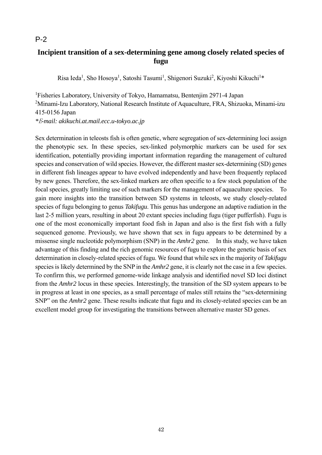# **Incipient transition of a sex-determining gene among closely related species of fugu**

Risa Ieda<sup>1</sup>, Sho Hosoya<sup>1</sup>, Satoshi Tasumi<sup>1</sup>, Shigenori Suzuki<sup>2</sup>, Kiyoshi Kikuchi<sup>1\*</sup>

1 Fisheries Laboratory, University of Tokyo, Hamamatsu, Bentenjim 2971-4 Japan <sup>2</sup>Minami-Izu Laboratory, National Research Institute of Aquaculture, FRA, Shizuoka, Minami-izu 415-0156 Japan *\**E*-mail: akikuchi.at.mail.ecc.u-tokyo.ac.jp* 

Sex determination in teleosts fish is often genetic, where segregation of sex-determining loci assign the phenotypic sex. In these species, sex-linked polymorphic markers can be used for sex identification, potentially providing important information regarding the management of cultured species and conservation of wild species. However, the different master sex-determining (SD) genes in different fish lineages appear to have evolved independently and have been frequently replaced by new genes. Therefore, the sex-linked markers are often specific to a few stock population of the focal species, greatly limiting use of such markers for the management of aquaculture species. gain more insights into the transition between SD systems in teleosts, we study closely-related species of fugu belonging to genus *Takifugu*. This genus has undergone an adaptive radiation in the last 2-5 million years, resulting in about 20 extant species including fugu (tiger pufferfish). Fugu is one of the most economically important food fish in Japan and also is the first fish with a fully sequenced genome. Previously, we have shown that sex in fugu appears to be determined by a missense single nucleotide polymorphism (SNP) in the *Amhr2* gene. In this study, we have taken advantage of this finding and the rich genomic resources of fugu to explore the genetic basis of sex determination in closely-related species of fugu. We found that while sex in the majority of *Takifugu* species is likely determined by the SNP in the *Amhr2* gene, it is clearly not the case in a few species. To confirm this, we performed genome-wide linkage analysis and identified novel SD loci distinct from the *Amhr2* locus in these species. Interestingly, the transition of the SD system appears to be in progress at least in one species, as a small percentage of males still retains the "sex-determining SNP" on the *Amhr2* gene. These results indicate that fugu and its closely-related species can be an excellent model group for investigating the transitions between alternative master SD genes.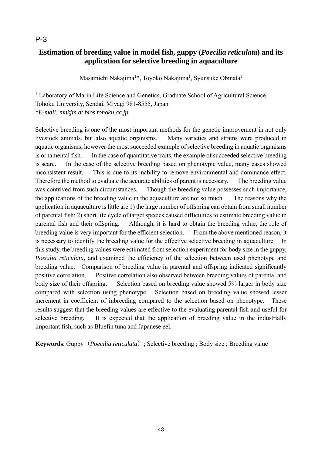# **Estimation of breeding value in model fish, guppy (***Poecilia reticulata***) and its application for selective breeding in aquaculture**

Masamichi Nakajima<sup>1\*</sup>, Toyoko Nakajima<sup>1</sup>, Syunsuke Obinata<sup>1</sup>

<sup>1</sup> Laboratory of Marin Life Science and Genetics, Graduate School of Agricultural Science, Tohoku University, Sendai, Miyagi 981-8555, Japan *\*E-mail: mnkjm at bios.tohoku.ac.jp* 

Selective breeding is one of the most important methods for the genetic improvement in not only livestock animals, but also aquatic organisms. Many varieties and strains were produced in aquatic organisms; however the most succeeded example of selective breeding in aquatic organisms is ornamental fish. In the case of quantitative traits, the example of succeeded selective breeding is scare. In the case of the selective breeding based on phenotypic value, many cases showed inconsistent result. This is due to its inability to remove environmental and dominance effect. Therefore the method to evaluate the accurate abilities of parent is necessary. The breeding value was contrived from such circumstances. Though the breeding value possesses such importance, the applications of the breeding value in the aquaculture are not so much. The reasons why the application in aquaculture is little are 1) the large number of offspring can obtain from small number of parental fish; 2) short life cycle of target species caused difficulties to estimate breeding value in parental fish and their offspring. Although, it is hard to obtain the breeding value, the role of breeding value is very important for the efficient selection. From the above mentioned reason, it is necessary to identify the breeding value for the effective selective breeding in aquaculture. In this study, the breeding values were estimated from selection experiment for body size in the guppy, *Poecilia reticulata*, and examined the efficiency of the selection between used phenotype and breeding value. Comparison of breeding value in parental and offspring indicated significantly positive correlation. Positive correlation also observed between breeding values of parental and body size of their offspring. Selection based on breeding value showed 5% larger in body size compared with selection using phenotype. Selection based on breeding value showed lesser increment in coefficient of inbreeding compared to the selection based on phenotype. These results suggest that the breeding values are effective to the evaluating parental fish and useful for selective breeding. It is expected that the application of breeding value in the industrially important fish, such as Bluefin tuna and Japanese eel.

**Keywords**: Guppy(*Poecilia reticulata*); Selective breeding ; Body size ; Breeding value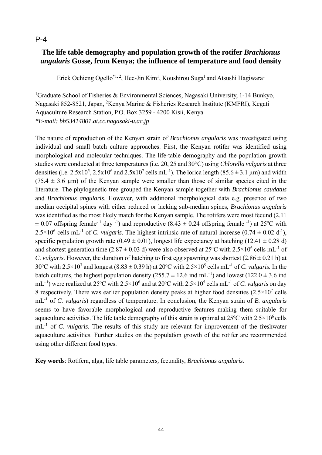# **The life table demography and population growth of the rotifer** *Brachionus angularis* **Gosse, from Kenya; the influence of temperature and food density**

Erick Ochieng Ogello<sup>\*1, 2</sup>, Hee-Jin Kim<sup>1</sup>, Koushirou Suga<sup>1</sup> and Atsushi Hagiwara<sup>1</sup>

<sup>1</sup>Graduate School of Fisheries & Environmental Sciences, Nagasaki University, 1-14 Bunkyo, Nagasaki 852-8521, Japan, <sup>2</sup>Kenya Marine & Fisheries Research Institute (KMFRI), Kegati Aquaculture Research Station, P.O. Box 3259 - 4200 Kisii, Kenya *\*E-mail: bb53414801.at.cc.nagasaki-u.ac.jp* 

The nature of reproduction of the Kenyan strain of *Brachionus angularis* was investigated using individual and small batch culture approaches. First, the Kenyan rotifer was identified using morphological and molecular techniques. The life-table demography and the population growth studies were conducted at three temperatures (i.e. 20, 25 and 30°C) using *Chlorella vulgaris* at three densities (i.e.  $2.5x10^5$ ,  $2.5x10^6$  and  $2.5x10^7$  cells mL<sup>-1</sup>). The lorica length (85.6  $\pm$  3.1 µm) and width  $(75.4 \pm 3.6 \text{ nm})$  of the Kenyan sample were smaller than those of similar species cited in the literature. The phylogenetic tree grouped the Kenyan sample together with *Brachionus caudatus* and *Brachionus angularis*. However, with additional morphological data e.g. presence of two median occipital spines with either reduced or lacking sub-median spines, *Brachionus angularis* was identified as the most likely match for the Kenyan sample. The rotifers were most fecund (2.11  $\pm$  0.07 offspring female<sup>-1</sup> day<sup>-1</sup>) and reproductive (8.43  $\pm$  0.24 offspring female<sup>-1</sup>) at 25<sup>o</sup>C with  $2.5 \times 10^6$  cells mL<sup>-1</sup> of *C. vulgaris*. The highest intrinsic rate of natural increase (0.74  $\pm$  0.02 d<sup>-1</sup>), specific population growth rate  $(0.49 \pm 0.01)$ , longest life expectancy at hatching  $(12.41 \pm 0.28$  d) and shortest generation time (2.87  $\pm$  0.03 d) were also observed at 25°C with 2.5×10<sup>6</sup> cells mL<sup>-1</sup> of *C. vulgaris.* However, the duration of hatching to first egg spawning was shortest  $(2.86 \pm 0.21 \text{ h})$  at 30°C with 2.5×10<sup>7</sup> and longest (8.83 ± 0.39 h) at 20°C with 2.5×10<sup>5</sup> cells mL<sup>-1</sup> of *C. vulgaris*. In the batch cultures, the highest population density (255.7  $\pm$  12.6 ind mL<sup>-1</sup>) and lowest (122.0  $\pm$  3.6 ind mL<sup>-1</sup>) were realized at 25<sup>o</sup>C with 2.5×10<sup>6</sup> and at 20<sup>o</sup>C with 2.5×10<sup>5</sup> cells mL<sup>-1</sup> of *C. vulgaris* on day 8 respectively. There was earlier population density peaks at higher food densities  $(2.5 \times 10^7 \text{ cells})$ mL-1 of *C. vulgaris*) regardless of temperature. In conclusion, the Kenyan strain of *B. angularis* seems to have favorable morphological and reproductive features making them suitable for aquaculture activities. The life table demography of this strain is optimal at  $25^{\circ}$ C with  $2.5 \times 10^6$  cells mL-1 of *C. vulgaris*. The results of this study are relevant for improvement of the freshwater aquaculture activities. Further studies on the population growth of the rotifer are recommended using other different food types.

**Key words**: Rotifera, alga, life table parameters*,* fecundity, *Brachionus angularis.*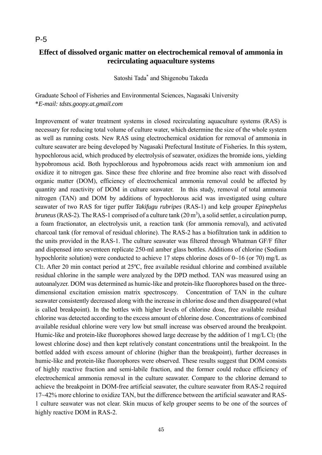## **Effect of dissolved organic matter on electrochemical removal of ammonia in recirculating aquaculture systems**

Satoshi Tada\* and Shigenobu Takeda

Graduate School of Fisheries and Environmental Sciences, Nagasaki University \**E-mail: tdsts.goopy.at.gmail.com*

Improvement of water treatment systems in closed recirculating aquaculture systems (RAS) is necessary for reducing total volume of culture water, which determine the size of the whole system as well as running costs. New RAS using electrochemical oxidation for removal of ammonia in culture seawater are being developed by Nagasaki Prefectural Institute of Fisheries. In this system, hypochlorous acid, which produced by electrolysis of seawater, oxidizes the bromide ions, yielding hypobromous acid. Both hypochlorous and hypobromous acids react with ammonium ion and oxidize it to nitrogen gas. Since these free chlorine and free bromine also react with dissolved organic matter (DOM), efficiency of electrochemical ammonia removal could be affected by quantity and reactivity of DOM in culture seawater. In this study, removal of total ammonia nitrogen (TAN) and DOM by additions of hypochlorous acid was investigated using culture seawater of two RAS for tiger puffer *Takifugu rubripes* (RAS-1) and kelp grouper *Epinephelus bruneus* (RAS-2). The RAS-1 comprised of a culture tank (20 m<sup>3</sup>), a solid settler, a circulation pump, a foam fractionator, an electrolysis unit, a reaction tank (for ammonia removal), and activated charcoal tank (for removal of residual chlorine). The RAS-2 has a biofiltration tank in addition to the units provided in the RAS-1. The culture seawater was filtered through Whatman GF/F filter and dispensed into seventeen replicate 250-ml amber glass bottles. Additions of chlorine (Sodium hypochlorite solution) were conducted to achieve 17 steps chlorine doses of 0~16 (or 70) mg/L as Cl2. After 20 min contact period at 25ºC, free available residual chlorine and combined available residual chlorine in the sample were analyzed by the DPD method. TAN was measured using an autoanalyzer. DOM was determined as humic-like and protein-like fluorophores based on the threedimensional excitation emission matrix spectroscopy. Concentration of TAN in the culture seawater consistently decreased along with the increase in chlorine dose and then disappeared (what is called breakpoint). In the bottles with higher levels of chlorine dose, free available residual chlorine was detected according to the excess amount of chlorine dose. Concentrations of combined available residual chlorine were very low but small increase was observed around the breakpoint. Humic-like and protein-like fluorophores showed large decrease by the addition of 1 mg/L Cl<sub>2</sub> (the lowest chlorine dose) and then kept relatively constant concentrations until the breakpoint. In the bottled added with excess amount of chlorine (higher than the breakpoint), further decreases in humic-like and protein-like fluorophores were observed. These results suggest that DOM consists of highly reactive fraction and semi-labile fraction, and the former could reduce efficiency of electrochemical ammonia removal in the culture seawater. Compare to the chlorine demand to achieve the breakpoint in DOM-free artificial seawater, the culture seawater from RAS-2 required 17~42% more chlorine to oxidize TAN, but the difference between the artificial seawater and RAS-1 culture seawater was not clear. Skin mucus of kelp grouper seems to be one of the sources of highly reactive DOM in RAS-2.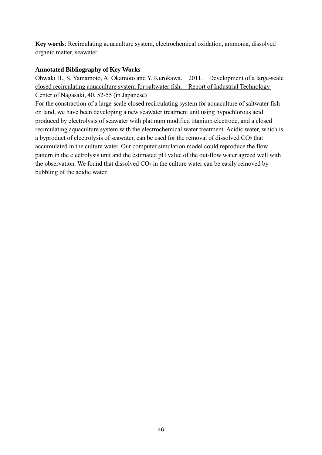**Key words**: Recirculating aquaculture system, electrochemical oxidation, ammonia, dissolved organic matter, seawater

#### **Annotated Bibliography of Key Works**

Ohwaki H., S. Yamamoto, A. Okamoto and Y. Kurokawa. 2011. Development of a large-scale closed recirculating aquaculture system for saltwater fish. Report of Industrial Technology Center of Nagasaki, 40, 52-55 (in Japanese)

For the constraction of a large-scale closed recirculating system for aquaculture of saltwater fish on land, we have been developing a new seawater treatment unit using hypochlorous acid produced by electrolysis of seawater with platinum modified titanium electrode, and a closed recirculating aquaculture system with the electrochemical water treatment. Acidic water, which is a byproduct of electrolysis of seawater, can be used for the removal of dissolved CO<sub>2</sub> that accumulated in the culture water. Our computer simulation model could reproduce the flow pattern in the electrolysis unit and the estimated pH value of the out-flow water agreed well with the observation. We found that dissolved  $CO<sub>2</sub>$  in the culture water can be easily removed by bubbling of the acidic water.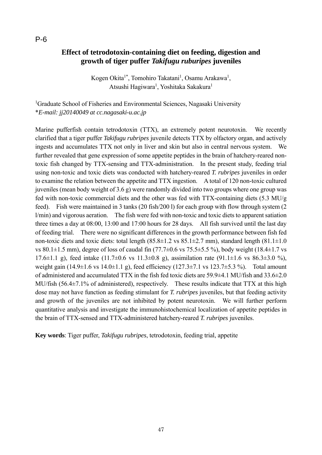## **Effect of tetrodotoxin-containing diet on feeding, digestion and growth of tiger puffer** *Takifugu ruburipes* **juveniles**

Kogen Okita<sup>1\*</sup>, Tomohiro Takatani<sup>1</sup>, Osamu Arakawa<sup>1</sup>, Atsushi Hagiwara<sup>1</sup>, Yoshitaka Sakakura<sup>1</sup>

<sup>1</sup>Graduate School of Fisheries and Environmental Sciences, Nagasaki University \**E-mail: jj20140049 at cc.nagasaki-u.ac.jp*

Marine pufferfish contain tetrodotoxin (TTX), an extremely potent neurotoxin. We recently clarified that a tiger puffer *Takifugu rubripes* juvenile detects TTX by olfactory organ, and actively ingests and accumulates TTX not only in liver and skin but also in central nervous system. We further revealed that gene expression of some appetite peptides in the brain of hatchery-reared nontoxic fish changed by TTX-sensing and TTX-administration. In the present study, feeding trial using non-toxic and toxic diets was conducted with hatchery-reared *T. rubripes* juveniles in order to examine the relation between the appetite and TTX ingestion. A total of 120 non-toxic cultured juveniles (mean body weight of 3.6 g) were randomly divided into two groups where one group was fed with non-toxic commercial diets and the other was fed with TTX-containing diets (5.3 MU/g feed). Fish were maintained in 3 tanks (20 fish/200 l) for each group with flow through system (2 l/min) and vigorous aeration. The fish were fed with non-toxic and toxic diets to apparent satiation three times a day at 08:00, 13:00 and 17:00 hours for 28 days. All fish survived until the last day of feeding trial. There were no significant differences in the growth performance between fish fed non-toxic diets and toxic diets: total length  $(85.8\pm1.2 \text{ vs } 85.1\pm2.7 \text{ mm})$ , standard length  $(81.1\pm1.0 \text{ m})$ vs 80.1 $\pm$ 1.5 mm), degree of loss of caudal fin (77.7 $\pm$ 0.6 vs 75.5 $\pm$ 5.5%), body weight (18.4 $\pm$ 1.7 vs 17.6 $\pm$ 1.1 g), feed intake (11.7 $\pm$ 0.6 vs 11.3 $\pm$ 0.8 g), assimilation rate (91.1 $\pm$ 1.6 vs 86.3 $\pm$ 3.0 %), weight gain  $(14.9\pm1.6 \text{ vs } 14.0\pm1.1 \text{ g})$ , feed efficiency  $(127.3\pm7.1 \text{ vs } 123.7\pm5.3 \text{ %})$ . Total amount of administered and accumulated TTX in the fish fed toxic diets are 59.9±4.1 MU/fish and 33.6±2.0 MU/fish (56.4±7.1% of administered), respectively. These results indicate that TTX at this high dose may not have function as feeding stimulant for *T. rubripes* juveniles, but that feeding activity and growth of the juveniles are not inhibited by potent neurotoxin. We will further perform quantitative analysis and investigate the immunohistochemical localization of appetite peptides in the brain of TTX-sensed and TTX-administered hatchery-reared *T. rubripes* juveniles.

**Key words**: Tiger puffer, *Takifugu rubripes*, tetrodotoxin, feeding trial, appetite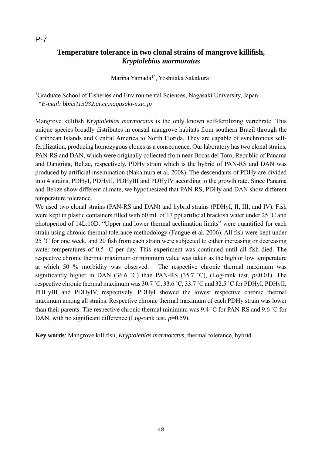# **Temperature tolerance in two clonal strains of mangrove killifish,**  *Kryptolebias marmoratus*

Marina Yamada<sup>1\*</sup>, Yoshitaka Sakakura<sup>1</sup>

<sup>1</sup>Graduate School of Fisheries and Environmental Sciences, Nagasaki University, Japan. \**E-mail: bb53115032.at.cc.nagasaki-u.ac.jp*

Mangrove killifish *Kryptolebias marmoratus* is the only known self-fertilizing vertebrate. This unique species broadly distributes in coastal mangrove habitats from southern Brazil through the Caribbean Islands and Central America to North Florida. They are capable of synchronous selffertilization, producing homozygous clones as a consequence. Our laboratory has two clonal strains, PAN-RS and DAN, which were originally collected from near Bocas del Toro, Republic of Panama and Dangriga, Belize, respectively. PDHy strain which is the hybrid of PAN-RS and DAN was produced by artificial insemination (Nakamura et al. 2008). The descendants of PDHy are divided into 4 strains, PDHyI, PDHyII, PDHyIII and PDHyIV according to the growth rate. Since Panama and Belize show different climate, we hypothesized that PAN-RS, PDHy and DAN show different temperature tolerance.

We used two clonal strains (PAN-RS and DAN) and hybrid strains (PDHyI, II, III, and IV). Fish were kept in plastic containers filled with 60 mL of 17 ppt artificial brackish water under 25 ˚C and photoperiod of 14L:10D. "Upper and lower thermal acclimation limits" were quantified for each strain using chronic thermal tolerance methodology (Fangue et al. 2006). All fish were kept under 25 ˚C for one week, and 20 fish from each strain were subjected to either increasing or decreasing water temperatures of 0.5 °C per day. This experiment was continued until all fish died. The respective chronic thermal maximum or minimum value was taken as the high or low temperature at which 50 % morbidity was observed. The respective chronic thermal maximum was significantly higher in DAN (36.6 °C) than PAN-RS (35.7 °C), (Log-rank test,  $p<0.01$ ). The respective chronic thermal maximum was 30.7 ˚C, 33.6 ˚C, 33.7 ˚C and 32.5 ˚C for PDHyI, PDHyII, PDHyIII and PDHyIV, respectively. PDHyI showed the lowest respective chronic thermal maximum among all strains. Respective chronic thermal maximum of each PDHy strain was lower than their parents. The respective chronic thermal minimum was 9.4 ˚C for PAN-RS and 9.6 ˚C for DAN, with no significant difference (Log-rank test,  $p=0.59$ ).

**Key words**: Mangrove killifish, *Kryptolebias marmoratus*, thermal tolerance, hybrid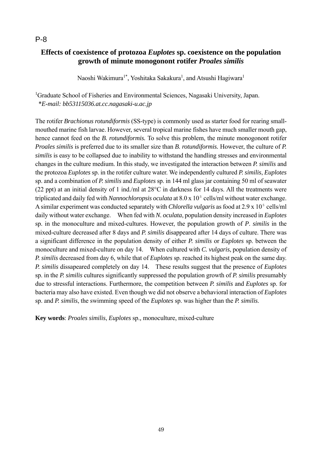## **Effects of coexistence of protozoa** *Euplotes* **sp. coexistence on the population growth of minute monogonont rotifer** *Proales similis*

Naoshi Wakimura<sup>1\*</sup>, Yoshitaka Sakakura<sup>1</sup>, and Atsushi Hagiwara<sup>1</sup>

<sup>1</sup>Graduate School of Fisheries and Environmental Sciences, Nagasaki University, Japan. \**E-mail: bb53115036.at.cc.nagasaki-u.ac.jp*

The rotifer *Brachionus rotundiformis* (SS-type) is commonly used as starter food for rearing smallmouthed marine fish larvae. However, several tropical marine fishes have much smaller mouth gap, hence cannot feed on the *B. rotundiformis.* To solve this problem, the minute monogonont rotifer *Proales similis* is preferred due to its smaller size than *B. rotundiformis.* However, the culture of *P. similis* is easy to be collapsed due to inability to withstand the handling stresses and environmental changes in the culture medium. In this study, we investigated the interaction between *P. similis* and the protozoa *Euplotes* sp. in the rotifer culture water. We independently cultured *P. similis*, *Euplotes* sp. and a combination of *P. similis* and *Euplotes* sp. in 144 ml glass jar containing 50 ml of seawater (22 ppt) at an initial density of 1 ind./ml at 28°C in darkness for 14 days. All the treatments were triplicated and daily fed with *Nannochloropsis oculata* at 8.0 x 10<sup><sup>5</sup></sup> cells/ml without water exchange. A similar experiment was conducted separately with *Chlorella vulgaris* as food at 2.9 x 10<sup>5</sup> cells/ml daily without water exchange. When fed with *N. oculata*, population density increased in *Euplotes* sp. in the monoculture and mixed-cultures. However, the population growth of *P*. *similis* in the mixed-culture decreased after 8 days and *P. similis* disappeared after 14 days of culture. There was a significant difference in the population density of either *P. similis* or *Euplotes* sp. between the monoculture and mixed-culture on day 14. When cultured with *C. vulgaris*, population density of *P. similis* decreased from day 6, while that of *Euplotes* sp. reached its highest peak on the same day. *P. similis* dissapeared completely on day 14. These results suggest that the presence of *Euplotes* sp. in the *P. similis* cultures significantly suppressed the population growth of *P. similis* presumably due to stressful interactions. Furthermore, the competition between *P. similis* and *Euplotes* sp. for bacteria may also have existed. Even though we did not observe a behavioral interaction of *Euplotes* sp. and *P. similis*, the swimming speed of the *Euplotes* sp. was higher than the *P. similis*.

**Key words**: *Proales similis*, *Euplotes* sp.*,* monoculture, mixed-culture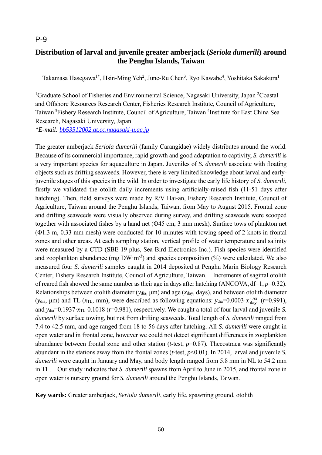# **Distribution of larval and juvenile greater amberjack (***Seriola dumerili***) around the Penghu Islands, Taiwan**

Takamasa Hasegawa<sup>1\*</sup>, Hsin-Ming Yeh<sup>2</sup>, June-Ru Chen<sup>3</sup>, Ryo Kawabe<sup>4</sup>, Yoshitaka Sakakura<sup>1</sup>

<sup>1</sup>Graduate School of Fisheries and Environmental Science, Nagasaki University, Japan <sup>2</sup>Coastal and Offshore Resources Research Center, Fisheries Research Institute, Council of Agriculture, Taiwan<sup>3</sup> Fishery Research Institute, Council of Agriculture, Taiwan<sup>4</sup> Institute for East China Sea Research, Nagasaki University, Japan

*\*E-mail: bb53512002.at.cc.nagasaki-u.ac.jp*

The greater amberjack *Seriola dumerili* (family Carangidae) widely distributes around the world. Because of its commercial importance, rapid growth and good adaptation to captivity, *S. dumerili* is a very important species for aquaculture in Japan. Juveniles of *S. dumerili* associate with floating objects such as drifting seaweeds. However, there is very limited knowledge about larval and earlyjuvenile stages of this species in the wild. In order to investigate the early life history of *S. dumerili*, firstly we validated the otolith daily increments using artificially-raised fish (11-51 days after hatching). Then, field surveys were made by R/V Hai-an, Fishery Research Institute, Council of Agriculture, Taiwan around the Penghu Islands, Taiwan, from May to August 2015. Frontal zone and drifting seaweeds were visually observed during survey, and drifting seaweeds were scooped together with associated fishes by a hand net (Φ45 cm, 3 mm mesh). Surface tows of plankton net (Φ1.3 m, 0.33 mm mesh) were conducted for 10 minutes with towing speed of 2 knots in frontal zones and other areas. At each sampling station, vertical profile of water temperature and salinity were measured by a CTD (SBE-19 plus, Sea-Bird Electronics Inc.). Fish species were identified and zooplankton abundance (mg  $DW \cdot m^{-3}$ ) and species composition (%) were calculated. We also measured four *S. dumerili* samples caught in 2014 deposited at Penghu Marin Biology Research Center, Fishery Research Institute, Council of Agriculture, Taiwan. Increments of sagittal otolith of reared fish showed the same number as their age in days after hatching (ANCOVA, df=1, *p*=0.32). Relationships between otolith diameter (*y*dia, μm) and age (*x*day, days), and between otolith diameter (*ydia*,  $\mu$ m) and TL (*x*<sub>TL</sub>, mm), were described as following equations: *ydia*=0.0003· $x_{day}^{1.93}$  (r=0.991), and *y*dia=0.1937·*x*TL-0.1018 (r=0.981), respectively. We caught a total of four larval and juvenile *S. dumerili* by surface towing, but not from drifting seaweeds. Total length of *S. dumerili* ranged from 7.4 to 42.5 mm, and age ranged from 18 to 56 days after hatching. All *S. dumerili* were caught in open water and in frontal zone, however we could not detect significant differences in zooplankton abundance between frontal zone and other station (*t*-test, *p*=0.87). Thecostraca was significantly abundant in the stations away from the frontal zones (*t*-test, *p*<0.01). In 2014, larval and juvenile *S. dumerili* were caught in January and May, and body length ranged from 5.8 mm in NL to 54.2 mm in TL. Our study indicates that *S. dumerili* spawns from April to June in 2015, and frontal zone in open water is nursery ground for *S. dumerili* around the Penghu Islands, Taiwan.

**Key wards:** Greater amberjack, *Seriola dumerili*, early life, spawning ground, otolith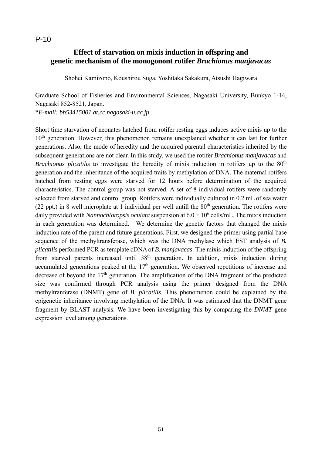# **Effect of starvation on mixis induction in offspring and genetic mechanism of the monogonont rotifer** *Brachionus manjavacas*

Shohei Kamizono, Koushirou Suga, Yoshitaka Sakakura, Atsushi Hagiwara

Graduate School of Fisheries and Environmental Sciences, Nagasaki University, Bunkyo 1-14, Nagasaki 852-8521, Japan. \**E-mail: bb53415001.at.cc.nagasaki-u.ac.jp*

Short time starvation of neonates hatched from rotifer resting eggs induces active mixis up to the 10<sup>th</sup> generation. However, this phenomenon remains unexplained whether it can last for further generations. Also, the mode of heredity and the acquired parental characteristics inherited by the subsequent generations are not clear. In this study, we used the rotifer *Brachionus manjavacas* and *Brachionus plicatilis* to investigate the heredity of mixis induction in rotifers up to the 80<sup>th</sup> generation and the inheritance of the acquired traits by methylation of DNA. The maternal rotifers hatched from resting eggs were starved for 12 hours before determination of the acquired characteristics. The control group was not starved. A set of 8 individual rotifers were randomly selected from starved and control group. Rotifers were individually cultured in 0.2 mL of sea water (22 ppt.) in 8 well microplate at 1 individual per well untill the  $80<sup>th</sup>$  generation. The rotifers were daily provided with *Nannochloropsis oculata* suspension at  $6.0 \times 10^6$  cells/mL. The mixis induction in each generation was determined. We determine the genetic factors that changed the mixis induction rate of the parent and future generations. First, we designed the primer using partial base sequence of the methyltransferase, which was the DNA methylase which EST analysis of *B. plicatilis* performed PCR as template cDNA of *B. manjavacas*. The mixis induction of the offspring from starved parents increased until 38<sup>th</sup> generation. In addition, mixis induction during accumulated generations peaked at the  $17<sup>th</sup>$  generation. We observed repetitions of increase and decrease of beyond the  $17<sup>th</sup>$  generation. The amplification of the DNA fragment of the predicted size was confirmed through PCR analysis using the primer designed from the DNA methyltranferase (DNMT) gene of *B. plicatilis*. This phenomenon could be explained by the epigenetic inheritance involving methylation of the DNA. It was estimated that the DNMT gene fragment by BLAST analysis. We have been investigating this by comparing the *DNMT* gene expression level among generations.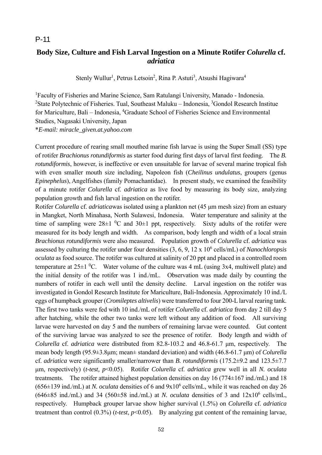# **Body Size, Culture and Fish Larval Ingestion on a Minute Rotifer** *Colurella* **cf.**  *adriatica*

Stenly Wullur<sup>1</sup>, Petrus Letsoin<sup>2</sup>, Rina P. Astuti<sup>3</sup>, Atsushi Hagiwara<sup>4</sup>

<sup>1</sup>Faculty of Fisheries and Marine Science, Sam Ratulangi University, Manado - Indonesia. <sup>2</sup>State Polytechnic of Fisheries. Tual, Southeast Maluku – Indonesia, <sup>3</sup>Gondol Research Institue for Mariculture, Bali - Indonesia, <sup>4</sup>Graduate School of Fisheries Science and Environmental Studies, Nagasaki University, Japan \**E-mail: miracle\_given.at.yahoo.com*

Current procedure of rearing small mouthed marine fish larvae is using the Super Small (SS) type of rotifer *Brachionus rotundiformis* as starter food during first days of larval first feeding. The *B. rotundiformis*, however, is ineffective or even unsuitable for larvae of several marine tropical fish with even smaller mouth size including, Napoleon fish (*Cheilinus undulatus*, groupers (genus *Epinephelus*), Angelfishes (family Pomachantidae). In present study, we examined the feasibility of a minute rotifer *Colurella* cf. *adriatica* as live food by measuring its body size, analyzing population growth and fish larval ingestion on the rotifer.

Rotifer *Colurella* cf. *adriatica*was isolated using a plankton net (45 μm mesh size) from an estuary in Mangket, North Minahasa, North Sulawesi, Indonesia. Water temperature and salinity at the time of sampling were  $28\pm1~^0C$  and  $30\pm1$  ppt, respectively. Sixty adults of the rotifer were measured for its body length and width. As comparison, body length and width of a local strain *Brachionus rotundiformis* were also measured. Population growth of *Colurella* cf. *adriatica* was assessed by culturing the rotifer under four densities  $(3, 6, 9, 12 \times 10^6 \text{ cells/mL})$  of *Nanochloropsis oculata* as food source. The rotifer was cultured at salinity of 20 ppt and placed in a controlled room temperature at  $25\pm1$  <sup>0</sup>C. Water volume of the culture was 4 mL (using 3x4, multiwell plate) and the initial density of the rotifer was 1 ind./mL. Observation was made daily by counting the numbers of rotifer in each well until the density decline. Larval ingestion on the rotifer was investigated in Gondol Research Institute for Mariculture, Bali-Indonesia. Approximately 10 ind./L eggs of humpback grouper (*Cromileptes altivelis*) were transferred to four 200-L larval rearing tank. The first two tanks were fed with 10 ind./mL of rotifer *Colurella* cf. *adriatica* from day 2 till day 5 after hatching, while the other two tanks were left without any addition of food. All surviving larvae were harvested on day 5 and the numbers of remaining larvae were counted. Gut content of the surviving larvae was analyzed to see the presence of rotifer. Body length and width of *Colurella* cf. *adriatica* were distributed from 82.8-103.2 and 46.8-61.7 μm, respectively. The mean body length (95.9±3.8μm; mean± standard deviation) and width (46.8-61.7 μm) of *Colurella*  cf. *adriatica* were significantly smaller/narrower than *B. rotundiformis* (175.2±9.2 and 123.5±7.7 μm, respectively) (*t-test, p*<0.05). Rotifer *Colurella* cf. *adriatica* grew well in all *N. oculata*  treatments. The rotifer attained highest population densities on day 16 (774±167 ind./mL) and 18  $(656\pm139 \text{ ind./mL})$  at *N. oculata* densities of 6 and  $9x10^6$  cells/mL, while it was reached on day 26  $(646\pm85 \text{ ind./mL})$  and 34 (560 $\pm58 \text{ ind./mL})$  at *N. oculata* densities of 3 and  $12x10^6$  cells/mL, respectively. Humpback grouper larvae show higher survival (1.5%) on *Colurella* cf. *adriatica* treatment than control (0.3%) (*t-test*, *p*<0.05). By analyzing gut content of the remaining larvae,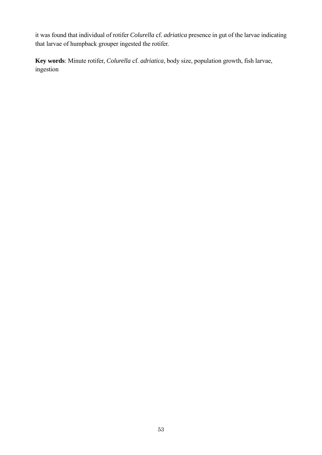it was found that individual of rotifer *Colurella* cf. *adriatica* presence in gut of the larvae indicating that larvae of humpback grouper ingested the rotifer.

**Key words**: Minute rotifer, *Colurella* cf. *adriatica*, body size, population growth, fish larvae, ingestion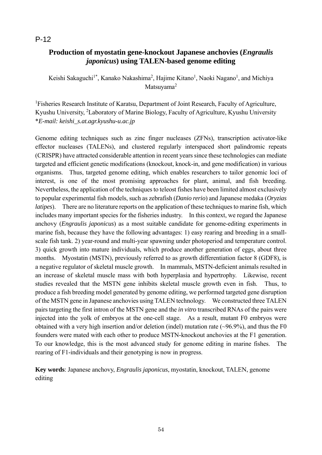# **Production of myostatin gene-knockout Japanese anchovies (***Engraulis japonicus***) using TALEN-based genome editing**

Keishi Sakaguchi<sup>1\*</sup>, Kanako Nakashima<sup>2</sup>, Hajime Kitano<sup>1</sup>, Naoki Nagano<sup>1</sup>, and Michiya Matsuvama<sup>2</sup>

<sup>1</sup>Fisheries Research Institute of Karatsu, Department of Joint Research, Faculty of Agriculture, Kyushu University, <sup>2</sup>Laboratory of Marine Biology, Faculty of Agriculture, Kyushu University \**E-mail: keishi\_s.at.agr.kyushu-u.ac.jp*

Genome editing techniques such as zinc finger nucleases (ZFNs), transcription activator-like effector nucleases (TALENs), and clustered regularly interspaced short palindromic repeats (CRISPR) have attracted considerable attention in recent years since these technologies can mediate targeted and efficient genetic modifications (knockout, knock-in, and gene modification) in various organisms. Thus, targeted genome editing, which enables researchers to tailor genomic loci of interest, is one of the most promising approaches for plant, animal, and fish breeding. Nevertheless, the application of the techniques to teleost fishes have been limited almost exclusively to popular experimental fish models, such as zebrafish (*Danio rerio*) and Japanese medaka (*Oryzias latipes*). There are no literature reports on the application of these techniques to marine fish, which includes many important species for the fisheries industry. In this context, we regard the Japanese anchovy (*Engraulis japonicus*) as a most suitable candidate for genome-editing experiments in marine fish, because they have the following advantages: 1) easy rearing and breeding in a smallscale fish tank. 2) year-round and multi-year spawning under photoperiod and temperature control. 3) quick growth into mature individuals, which produce another generation of eggs, about three months. Myostatin (MSTN), previously referred to as growth differentiation factor 8 (GDF8), is a negative regulator of skeletal muscle growth. In mammals, MSTN-deficient animals resulted in an increase of skeletal muscle mass with both hyperplasia and hypertrophy. Likewise, recent studies revealed that the MSTN gene inhibits skeletal muscle growth even in fish. Thus, to produce a fish breeding model generated by genome editing, we performed targeted gene disruption of the MSTN gene in Japanese anchovies using TALEN technology. We constructed three TALEN pairs targeting the first intron of the MSTN gene and the *in vitro* transcribed RNAs of the pairs were injected into the yolk of embryos at the one-cell stage. As a result, mutant F0 embryos were obtained with a very high insertion and/or deletion (indel) mutation rate (~96.9%), and thus the F0 founders were mated with each other to produce MSTN-knockout anchovies at the F1 generation. To our knowledge, this is the most advanced study for genome editing in marine fishes. The rearing of F1-individuals and their genotyping is now in progress.

**Key words**: Japanese anchovy, *Engraulis japonicus*, myostatin, knockout, TALEN, genome editing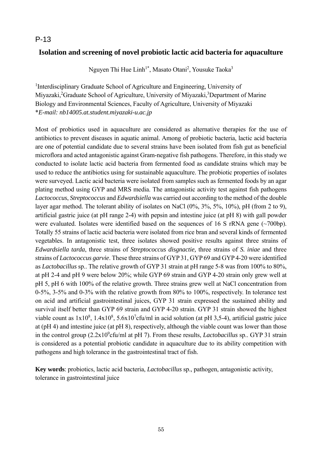# **Isolation and screening of novel probiotic lactic acid bacteria for aquaculture**

Nguyen Thi Hue Linh<sup>1\*</sup>, Masato Otani<sup>2</sup>, Yousuke Taoka<sup>3</sup>

<sup>1</sup>Interdisciplinary Graduate School of Agriculture and Engineering, University of Miyazaki,<sup>2</sup>Graduate School of Agriculture, University of Miyazaki,<sup>3</sup>Department of Marine Biology and Environmental Sciences, Faculty of Agriculture, University of Miyazaki \**E-mail: nb14005.at.student.miyazaki-u.ac.jp*

Most of probiotics used in aquaculture are considered as alternative therapies for the use of antibiotics to prevent diseases in aquatic animal. Among of probiotic bacteria, lactic acid bacteria are one of potential candidate due to several strains have been isolated from fish gut as beneficial microflora and acted antagonistic against Gram-negative fish pathogens. Therefore, in this study we conducted to isolate lactic acid bacteria from fermented food as candidate strains which may be used to reduce the antibiotics using for sustainable aquaculture. The probiotic properties of isolates were surveyed. Lactic acid bacteria were isolated from samples such as fermented foods by an agar plating method using GYP and MRS media. The antagonistic activity test against fish pathogens *Lactococcus*, *Streptococcus* and *Edwardsiella* was carried out according to the method of the double layer agar method. The tolerant ability of isolates on NaCl (0%, 3%, 5%, 10%), pH (from 2 to 9), artificial gastric juice (at pH range 2-4) with pepsin and intestine juice (at pH 8) with gall powder were evaluated. Isolates were identified based on the sequences of 16 S rRNA gene  $(\sim 700$ bp). Totally 55 strains of lactic acid bacteria were isolated from rice bran and several kinds of fermented vegetables. In antagonistic test, three isolates showed positive results against three strains of *Edwardsiella tarda*, three strains of *Streptococcus disgnactie,* three strains of *S. iniae* and three strains of *Lactococcus garvie*. These three strains of GYP 31, GYP 69 and GYP 4-20 were identified as *Lactobacillus* sp.. The relative growth of GYP 31 strain at pH range 5-8 was from 100% to 80%, at pH 2-4 and pH 9 were below 20%; while GYP 69 strain and GYP 4-20 strain only grew well at pH 5, pH 6 with 100% of the relative growth. Three strains grew well at NaCl concentration from 0-5%, 3-5% and 0-3% with the relative growth from 80% to 100%, respectively. In tolerance test on acid and artificial gastrointestinal juices, GYP 31 strain expressed the sustained ability and survival itself better than GYP 69 strain and GYP 4-20 strain. GYP 31 strain showed the highest viable count as  $1x10^8$ ,  $1.4x10^8$ ,  $5.6x10^7$ cfu/ml in acid solution (at pH 3,5-4), artificial gastric juice at (pH 4) and intestine juice (at pH 8), respectively, although the viable count was lower than those in the control group (2.2x10<sup>9</sup>cfu/ml at pH 7). From these results, *Lactobacillus* sp.. GYP 31 strain is considered as a potential probiotic candidate in aquaculture due to its ability competition with pathogens and high tolerance in the gastrointestinal tract of fish.

**Key words**: probiotics, lactic acid bacteria, *Lactobacillus* sp., pathogen, antagonistic activity, tolerance in gastrointestinal juice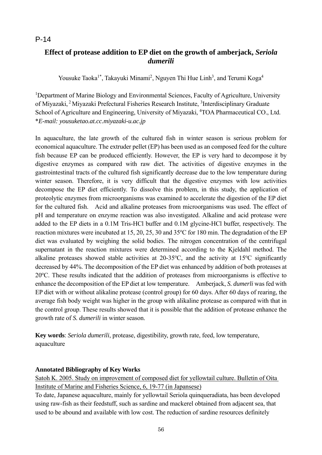# **Effect of protease addition to EP diet on the growth of amberjack,** *Seriola dumerili*

Yousuke Taoka<sup>1\*</sup>, Takayuki Minami<sup>2</sup>, Nguyen Thi Hue Linh<sup>3</sup>, and Terumi Koga<sup>4</sup>

<sup>1</sup>Department of Marine Biology and Environmental Sciences, Faculty of Agriculture, University of Miyazaki, <sup>2</sup> Miyazaki Prefectural Fisheries Research Institute, <sup>3</sup>Interdisciplinary Graduate School of Agriculture and Engineering, University of Miyazaki, <sup>4</sup>TOA Pharmaceutical CO., Ltd. \**E-mail: yousuketao.at.cc.miyazaki-u.ac.jp*

In aquaculture, the late growth of the cultured fish in winter season is serious problem for economical aquaculture. The extruder pellet (EP) has been used as an composed feed for the culture fish because EP can be produced efficiently. However, the EP is very hard to decompose it by digestive enzymes as compared with raw diet. The activities of digestive enzymes in the gastrointestinal tracts of the cultured fish significantly decrease due to the low temperature during winter season. Therefore, it is very difficult that the digestive enzymes with low activities decompose the EP diet efficiently. To dissolve this problem, in this study, the application of proteolytic enzymes from microorganisms was examined to accelerate the digestion of the EP diet for the cultured fish. Acid and alkaline proteases from microorganisms was used. The effect of pH and temperature on enzyme reaction was also investigated. Alkaline and acid protease were added to the EP diets in a 0.1M Tris-HCl buffer and 0.1M glycine-HCl buffer, respectively. The reaction mixtures were incubated at 15, 20, 25, 30 and 35°C for 180 min. The degradation of the EP diet was evaluated by weighing the solid bodies. The nitrogen concentration of the centrifugal supernatant in the reaction mixtures were determined according to the Kjeldahl method. The alkaline proteases showed stable activities at  $20-35^{\circ}$ C, and the activity at  $15^{\circ}$ C significantly decreased by 44%. The decomposition of the EP diet was enhanced by addition of both proteases at 20°C. These results indicated that the addition of proteases from microorganisms is effective to enhance the decomposition of the EP diet at low temperature. Amberjack, *S. dumerli* was fed with EP diet with or without alikaline protease (control group) for 60 days. After 60 days of rearing, the average fish body weight was higher in the group with alikaline protease as compared with that in the control group. These results showed that it is possible that the addition of protease enhance the growth rate of *S. dumerili* in winter season.

**Key words**: *Seriola dumerili*, protease, digestibility, growth rate, feed, low temperature, aquaculture

### **Annotated Bibliography of Key Works**

Satoh K. 2005. Study on improvement of composed diet for yellowtail culture. Bulletin of Oita Institute of Marine and Fisheries Science, 6, 19-77 (in Japansese)

To date, Japanese aquaculture, mainly for yellowtail Seriola quinqueradiata, has been developed using raw-fish as their feedstuff, such as sardine and mackerel obtained from adjacent sea, that used to be abound and available with low cost. The reduction of sardine resources definitely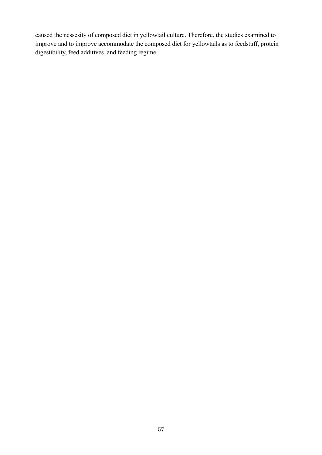caused the nessesity of composed diet in yellowtail culture. Therefore, the studies examined to improve and to improve accommodate the composed diet for yellowtails as to feedstuff, protein digestibility, feed additives, and feeding regime.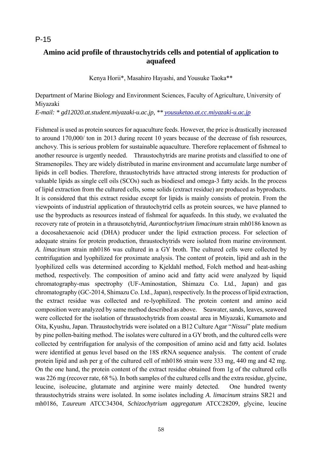# **Amino acid profile of thraustochytrids cells and potential of application to aquafeed**

Kenya Horii\*, Masahiro Hayashi, and Yousuke Taoka\*\*

Department of Marine Biology and Environment Sciences, Faculty of Agriculture, University of Miyazaki

*E-mail: \* gd12020.at.student.miyazaki-u.ac.jp, \*\* yousuketao.at.cc.miyazaki-u.ac.jp*

Fishmeal is used as protein sources for aquaculture feeds. However, the price is drastically increased to around 170,000/ ton in 2013 during recent 10 years because of the decrease of fish resources, anchovy. This is serious problem for sustainable aquaculture. Therefore replacement of fishmeal to another resource is urgently needed. Thraustochytrids are marine protists and classified to one of Stramenopiles. They are widely distributed in marine environment and accumulate large number of lipids in cell bodies. Therefore, thraustochytrids have attracted strong interests for production of valuable lipids as single cell oils (SCOs) such as biodiesel and omega-3 fatty acids. In the process of lipid extraction from the cultured cells, some solids (extract residue) are produced as byproducts. It is considered that this extract residue except for lipids is mainly consists of protein. From the viewpoints of industrial application of thrautochytrid cells as protein sources, we have planned to use the byproducts as resources instead of fishmeal for aquafeeds. In this study, we evaluated the recovery rate of protein in a thrausotchytrid, *Aurantiochytrium limacinum* strain mh0186 known as a docosahexaenoic acid (DHA) producer under the lipid extraction process. For selection of adequate strains for protein production, thraustochytrids were isolated from marine environment. *A. limacinum* strain mh0186 was cultured in a GY broth. The cultured cells were collected by centrifugation and lyophilized for proximate analysis. The content of protein, lipid and ash in the lyophilized cells was determined according to Kjeldahl method, Folch method and heat-ashing method, respectively. The composition of amino acid and fatty acid were analyzed by liquid chromatography-mas spectrophy (UF-Aminostation, Shimazu Co. Ltd., Japan) and gas chromatography (GC-2014, Shimazu Co. Ltd., Japan), respectively. In the process of lipid extraction, the extract residue was collected and re-lyophilized. The protein content and amino acid composition were analyzed by same method described as above. Seawater, sands, leaves, seaweed were collected for the isolation of thraustochytrids from coastal area in Miyazaki, Kumamoto and Oita, Kyushu, Japan. Thraustochytrids were isolated on a B12 Culture Agar "*Nissui*" plate medium by pine pollen-baiting method. The isolates were cultured in a GY broth, and the cultured cells were collected by centrifugation for analysis of the composition of amino acid and fatty acid. Isolates were identified at genus level based on the 18S rRNA sequence analysis. The content of crude protein lipid and ash per g of the cultured cell of mh0186 strain were 333 mg, 440 mg and 42 mg. On the one hand, the protein content of the extract residue obtained from 1g of the cultured cells was 226 mg (recover rate, 68 %). In both samples of the cultured cells and the extra residue, glycine, leucine, isoleucine, glutamate and arginine were mainly detected. One hundred twenty thraustochytrids strains were isolated. In some isolates including *A. limacinum* strains SR21 and mh0186, *T.aureum* ATCC34304, *Schizochytrium aggregatum* ATCC28209, glycine, leucine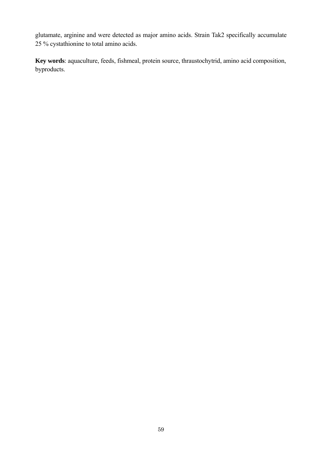glutamate, arginine and were detected as major amino acids. Strain Tak2 specifically accumulate 25 % cystathionine to total amino acids.

**Key words**: aquaculture, feeds, fishmeal, protein source, thraustochytrid, amino acid composition, byproducts.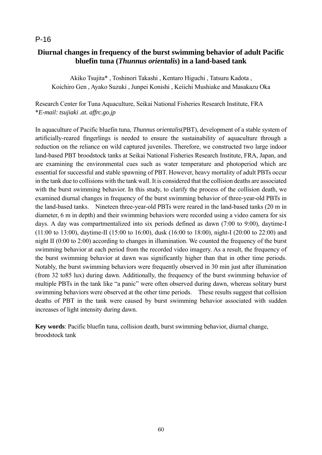# **Diurnal changes in frequency of the burst swimming behavior of adult Pacific bluefin tuna (***Thunnus orientalis***) in a land-based tank**

Akiko Tsujita\* , Toshinori Takashi , Kentaro Higuchi , Tatsuru Kadota , Koichiro Gen , Ayako Suzuki , Junpei Konishi , Keiichi Mushiake and Masakazu Oka

Research Center for Tuna Aquaculture, Seikai National Fisheries Research Institute, FRA \**E-mail: tsujiaki .at. affrc.go.jp*

In aquaculture of Pacific bluefin tuna, *Thunnus orientalis*(PBT), development of a stable system of artificially-reared fingerlings is needed to ensure the sustainability of aquaculture through a reduction on the reliance on wild captured juveniles. Therefore, we constructed two large indoor land-based PBT broodstock tanks at Seikai National Fisheries Research Institute, FRA, Japan, and are examining the environmental cues such as water temperature and photoperiod which are essential for successful and stable spawning of PBT. However, heavy mortality of adult PBTs occur in the tank due to collisions with the tank wall. It is considered that the collision deaths are associated with the burst swimming behavior. In this study, to clarify the process of the collision death, we examined diurnal changes in frequency of the burst swimming behavior of three-year-old PBTs in the land-based tanks. Nineteen three-year-old PBTs were reared in the land-based tanks (20 m in diameter, 6 m in depth) and their swimming behaviors were recorded using a video camera for six days. A day was compartmentalized into six periods defined as dawn (7:00 to 9:00), daytime-I (11:00 to 13:00), daytime-II (15:00 to 16:00), dusk (16:00 to 18:00), night-I (20:00 to 22:00) and night II (0:00 to 2:00) according to changes in illumination. We counted the frequency of the burst swimming behavior at each period from the recorded video imagery. As a result, the frequency of the burst swimming behavior at dawn was significantly higher than that in other time periods. Notably, the burst swimming behaviors were frequently observed in 30 min just after illumination (from 32 to85 lux) during dawn. Additionally, the frequency of the burst swimming behavior of multiple PBTs in the tank like "a panic" were often observed during dawn, whereas solitary burst swimming behaviors were observed at the other time periods. These results suggest that collision deaths of PBT in the tank were caused by burst swimming behavior associated with sudden increases of light intensity during dawn.

**Key words**: Pacific bluefin tuna, collision death, burst swimming behavior, diurnal change, broodstock tank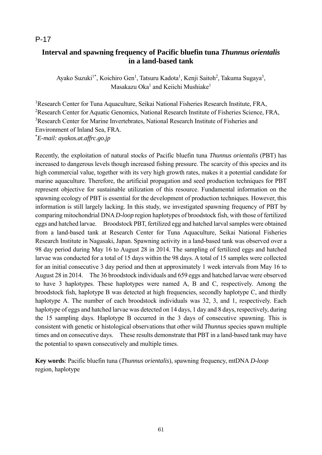# **Interval and spawning frequency of Pacific bluefin tuna** *Thunnus orientalis*  **in a land-based tank**

Ayako Suzuki<sup>1\*</sup>, Koichiro Gen<sup>1</sup>, Tatsuru Kadota<sup>1</sup>, Kenji Saitoh<sup>2</sup>, Takuma Sugaya<sup>3</sup>, Masakazu Oka<sup>1</sup> and Keiichi Mushiake<sup>1</sup>

<sup>1</sup>Research Center for Tuna Aquaculture, Seikai National Fisheries Research Institute, FRA, <sup>2</sup>Research Center for Aquatic Genomics, National Research Institute of Fisheries Science, FRA, <sup>3</sup>Research Center for Marine Invertebrates, National Research Institute of Fisheries and Environment of Inland Sea, FRA. \* *E-mail: ayakos.at.affrc.go.jp*

Recently, the exploitation of natural stocks of Pacific bluefin tuna *Thunnus orientalis* (PBT) has increased to dangerous levels though increased fishing pressure. The scarcity of this species and its high commercial value, together with its very high growth rates, makes it a potential candidate for marine aquaculture. Therefore, the artificial propagation and seed production techniques for PBT represent objective for sustainable utilization of this resource. Fundamental information on the spawning ecology of PBT is essential for the development of production techniques. However, this information is still largely lacking. In this study, we investigated spawning frequency of PBT by comparing mitochondrial DNA *D-loop* region haplotypes of broodstock fish, with those of fertilized eggs and hatched larvae. Broodstock PBT, fertilized egg and hatched larval samples were obtained from a land-based tank at Research Center for Tuna Aquaculture, Seikai National Fisheries Research Institute in Nagasaki, Japan. Spawning activity in a land-based tank was observed over a 98 day period during May 16 to August 28 in 2014. The sampling of fertilized eggs and hatched larvae was conducted for a total of 15 days within the 98 days. A total of 15 samples were collected for an initial consecutive 3 day period and then at approximately 1 week intervals from May 16 to August 28 in 2014. The 36 broodstock individuals and 659 eggs and hatched larvae were observed to have 3 haplotypes. These haplotypes were named A, B and C, respectively. Among the broodstock fish, haplotype B was detected at high frequencies, secondly haplotype C, and thirdly haplotype A. The number of each broodstock individuals was 32, 3, and 1, respectively. Each haplotype of eggs and hatched larvae was detected on 14 days, 1 day and 8 days, respectively, during the 15 sampling days. Haplotype B occurred in the 3 days of consecutive spawning. This is consistent with genetic or histological observations that other wild *Thunnus* species spawn multiple times and on consecutive days. These results demonstrate that PBT in a land-based tank may have the potential to spawn consecutively and multiple times.

**Key words**: Pacific bluefin tuna (*Thunnus orientalis*), spawning frequency, mtDNA *D-loop* region, haplotype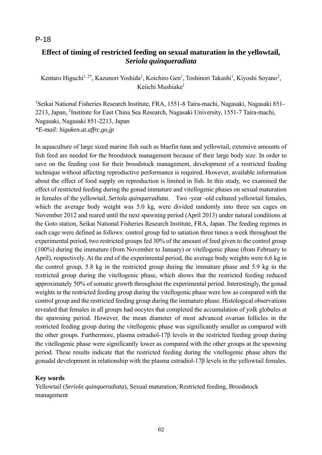# **Effect of timing of restricted feeding on sexual maturation in the yellowtail,**  *Seriola quinqueradiata*

Kentaro Higuchi<sup>1, 2\*</sup>, Kazunori Yoshida<sup>1</sup>, Koichiro Gen<sup>1</sup>, Toshinori Takashi<sup>1</sup>, Kiyoshi Soyano<sup>2</sup>, Keiichi Mushiake<sup>1</sup>

<sup>1</sup>Seikai National Fisheries Research Institute, FRA, 1551-8 Taira-machi, Nagasaki, Nagasaki 851-2213, Japan, <sup>2</sup>Institute for East China Sea Research, Nagasaki University, 1551-7 Taira-machi, Nagasaki, Nagasaki 851-2213, Japan *\*E-mail: higuken.at.affrc.go.jp* 

In aquaculture of large sized marine fish such as bluefin tuna and yellowtail, extensive amounts of fish feed are needed for the broodstock management because of their large body size. In order to save on the feeding cost for their broodstock management, development of a restricted feeding technique without affecting reproductive performance is required. However, available information about the effect of food supply on reproduction is limited in fish. In this study, we examined the effect of restricted feeding during the gonad immature and vitellogenic phases on sexual maturation in females of the yellowtail, *Seriola quinqueradiata*. Two -year -old cultured yellowtail females, which the average body weight was 5.0 kg, were divided randomly into three sea cages on November 2012 and reared until the next spawning period (April 2013) under natural conditions at the Goto station, Seikai National Fisheries Research Institute, FRA, Japan. The feeding regimes in each cage were defined as follows: control group fed to satiation three times a week throughout the experimental period, two restricted groups fed 30% of the amount of feed given to the control group (100%) during the immature (from November to January) or vitellogenic phase (from February to April), respectively. At the end of the experimental period, the average body weights were 6.6 kg in the control group, 5.8 kg in the restricted group during the immature phase and 5.9 kg in the restricted group during the vitellogenic phase, which shows that the restricted feeding reduced approximately 50% of somatic growth throughout the experimental period. Interestingly, the gonad weights in the restricted feeding group during the vitellogenic phase were low as compared with the control group and the restricted feeding group during the immature phase. Histological observations revealed that females in all groups had oocytes that completed the accumulation of yolk globules at the spawning period. However, the mean diameter of most advanced ovarian follicles in the restricted feeding group during the vitellogenic phase was significantly smaller as compared with the other groups. Furthermore, plasma estradiol-17β levels in the restricted feeding group during the vitellogenic phase were significantly lower as compared with the other groups at the spawning period. These results indicate that the restricted feeding during the vitellogenic phase alters the gonadal development in relationship with the plasma estradiol-17β levels in the yellowtail females.

### **Key words**

Yellowtail (*Seriola quinqueradiata*), Sexual maturation, Restricted feeding, Broodstock management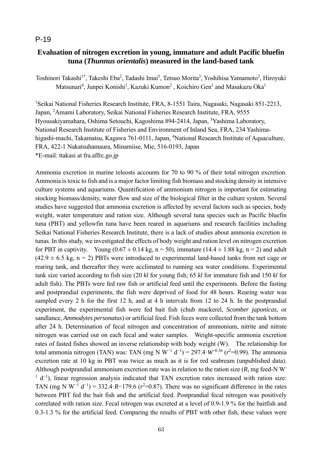# **Evaluation of nitrogen excretion in young, immature and adult Pacific bluefin tuna (***Thunnus orientalis***) measured in the land-based tank**

Toshinori Takashi<sup>1\*</sup>, Takeshi Eba<sup>2</sup>, Tadashi Imai<sup>3</sup>, Tetsuo Morita<sup>3</sup>, Yoshihisa Yamamoto<sup>3</sup>, Hiroyuki Matsunari<sup>4</sup>, Junpei Konishi<sup>1</sup>, Kazuki Kumon<sup>2</sup>, Koichiro Gen<sup>1</sup> and Masakazu Oka<sup>1</sup>

<sup>1</sup>Seikai National Fisheries Research Institute, FRA, 8-1551 Taira, Nagasaki, Nagasaki 851-2213, Japan, <sup>2</sup>Amami Laboratory, Seikai National Fisheries Research Institute, FRA, 9555 Hyousakiyamahara, Oshima Setouchi, Kagoshima 894-2414, Japan, <sup>3</sup>Yashima Laboratory, National Research Institute of Fisheries and Environment of Inland Sea, FRA, 234 Yashimahigashi-machi, Takamatsu, Kagawa 761-0111, Japan, <sup>4</sup>National Research Institute of Aquaculture, FRA, 422-1 Nakatsuhamaura, Minamiise, Mie, 516-0193, Japan \*E-mail: ttakasi at fra.affrc.go.jp

Ammonia excretion in marine teleosts accounts for 70 to 90 % of their total nitrogen excretion. Ammonia is toxic to fish and is a major factor limiting fish biomass and stocking density in intensive culture systems and aquariums. Quantification of ammonium nitrogen is important for estimating stocking biomass/density, water flow and size of the biological filter in the culture system. Several studies have suggested that ammonia excretion is affected by several factors such as species, body weight, water temperature and ration size. Although several tuna species such as Pacific bluefin tuna (PBT) and yellowfin tuna have been reared in aquariums and research facilities including Seikai National Fisheries Research Institute, there is a lack of studies about ammonia excretion in tunas. In this study, we investigated the effects of body weight and ration level on nitrogen excretion for PBT in captivity. Young  $(0.67 \pm 0.14 \text{ kg}, n = 50)$ , immature  $(14.4 \pm 1.88 \text{ kg}, n = 2)$  and adult  $(42.9 \pm 6.5 \text{ kg}, n = 2)$  PBTs were introduced to experimental land-based tanks from net cage or rearing tank, and thereafter they were acclimated to running sea water conditions. Experimental tank size varied according to fish size (20 *kl* for young fish; 65 *kl* for immature fish and 150 *kl* for adult fish). The PBTs were fed raw fish or artificial feed until the experiments. Before the fasting and postprandial experiments, the fish were deprived of food for 48 hours. Rearing water was sampled every 2 h for the first 12 h, and at 4 h intervals from 12 to 24 h. In the postprandial experiment, the experimental fish were fed bait fish (chub mackerel, *Scomber japonicas*, or sandlance, *Ammodytes personatus*) or artificial feed. Fish feces were collected from the tank bottom after 24 h. Determination of fecal nitrogen and concentration of ammonium, nitrite and nitrate nitrogen was carried out on each fecal and water samples. Weight-specific ammonia excretion rates of fasted fishes showed an inverse relationship with body weight (W). The relationship for total ammonia nitrogen (TAN) was: TAN (mg N W<sup>-1</sup> d<sup>-1</sup>) = 297.4 *W*<sup>-0.36</sup> ( $r^2$ =0.99). The ammonia excretion rate at 10 kg in PBT was twice as much as it is for red seabream (unpublished data). Although postprandial ammonium excretion rate was in relation to the ration size (*R*, mg feed-N W-<sup>1</sup> d<sup>-1</sup>), linear regression analysis indicated that TAN excretion rates increased with ration size: TAN (mg N W<sup>-1</sup> d<sup>-1</sup>) = 332.4⋅*R*-179.6 ( $r^2$ =0.87). There was no significant difference in the rates between PBT fed the bait fish and the artificial feed. Postprandial fecal nitrogen was positively correlated with ration size. Fecal nitrogen was excreted at a level of 0.9-1.9 % for the baitfish and 0.3-1.3 % for the artificial feed. Comparing the results of PBT with other fish, these values were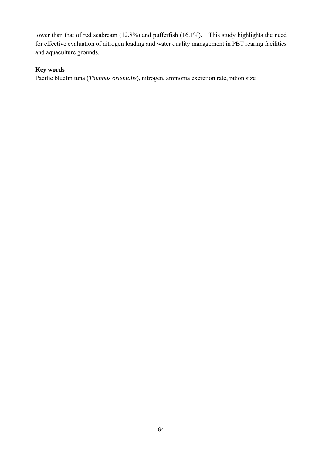lower than that of red seabream (12.8%) and pufferfish (16.1%). This study highlights the need for effective evaluation of nitrogen loading and water quality management in PBT rearing facilities and aquaculture grounds.

# **Key words**

Pacific bluefin tuna (*Thunnus orientalis*), nitrogen, ammonia excretion rate, ration size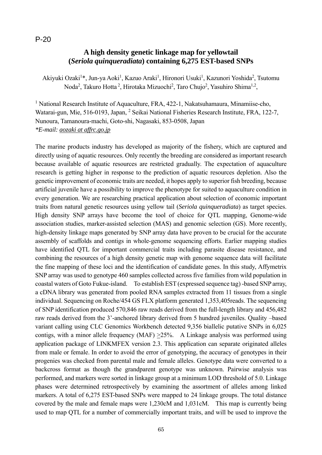## **A high density genetic linkage map for yellowtail (***Seriola quinqueradiata***) containing 6,275 EST-based SNPs**

Akiyuki Ozaki<sup>1</sup>\*, Jun-ya Aoki<sup>1</sup>, Kazuo Araki<sup>1</sup>, Hironori Usuki<sup>1</sup>, Kazunori Yoshida<sup>2</sup>, Tsutomu Noda<sup>2</sup>, Takuro Hotta<sup>2</sup>, Hirotaka Mizuochi<sup>2</sup>, Taro Chujo<sup>2</sup>, Yasuhiro Shima<sup>1,2</sup>,

<sup>1</sup> National Research Institute of Aquaculture, FRA, 422-1, Nakatsuhamaura, Minamiise-cho, Watarai-gun, Mie, 516-0193, Japan, <sup>2</sup> Seikai National Fisheries Research Institute, FRA, 122-7, Nunoura, Tamanoura-machi, Goto-shi, Nagasaki, 853-0508, Japan *\*E-mail: aozaki at affrc.go.jp* 

The marine products industry has developed as majority of the fishery, which are captured and directly using of aquatic resources. Only recently the breeding are considered as important research because available of aquatic resources are restricted gradually. The expectation of aquaculture research is getting higher in response to the prediction of aquatic resources depletion. Also the genetic improvement of economic traits are needed, it hopes apply to superior fish breeding, because artificial juvenile have a possibility to improve the phenotype for suited to aquaculture condition in every generation. We are researching practical application about selection of economic important traits from natural genetic resources using yellow tail (*Seriola quinqueradiata*) as target species. High density SNP arrays have become the tool of choice for QTL mapping, Genome-wide association studies, marker-assisted selection (MAS) and genomic selection (GS). More recently, high-density linkage maps generated by SNP array data have proven to be crucial for the accurate assembly of scaffolds and contigs in whole-genome sequencing efforts. Earlier mapping studies have identified QTL for important commercial traits including parasite disease resistance, and combining the resources of a high density genetic map with genome sequence data will facilitate the fine mapping of these loci and the identification of candidate genes. In this study, Affymetrix SNP array was used to genotype 460 samples collected across five families from wild population in coastal waters of Goto Fukue-island. To establish EST (expressed sequence tag) -based SNP array, a cDNA library was generated from pooled RNA samples extracted from 11 tissues from a single individual. Sequencing on Roche/454 GS FLX platform generated 1,353,405reads. The sequencing of SNP identification produced 570,846 raw reads derived from the full-length library and 456,482 raw reads derived from the 3'-anchored library derived from 5 hundred juveniles. Quality –based variant calling using CLC Genomics Workbench detected 9,356 biallelic putative SNPs in 6,025 contigs, with a minor allele frequency (MAF) >25%. A Linkage analysis was performed using application package of LINKMFEX version 2.3. This application can separate originated alleles from male or female. In order to avoid the error of genotyping, the accuracy of genotypes in their progenies was checked from parental male and female alleles. Genotype data were converted to a backcross format as though the grandparent genotype was unknown. Pairwise analysis was performed, and markers were sorted in linkage group at a minimum LOD threshold of 5.0. Linkage phases were determined retrospectively by examining the assortment of alleles among linked markers. A total of 6,275 EST-based SNPs were mapped to 24 linkage groups. The total distance covered by the male and female maps were 1,230cM and 1,031cM. This map is currently being used to map QTL for a number of commercially important traits, and will be used to improve the